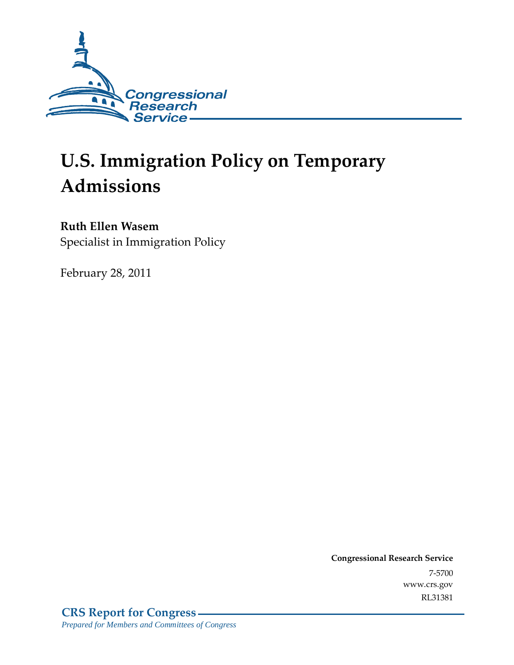

# **U.S. Immigration Policy on Temporary Admissions**

## **Ruth Ellen Wasem**

Specialist in Immigration Policy

February 28, 2011

**Congressional Research Service** 7-5700 www.crs.gov RL31381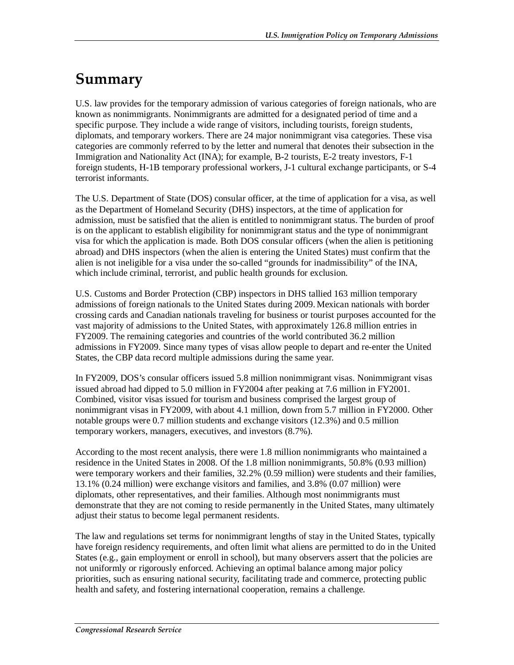## **Summary**

U.S. law provides for the temporary admission of various categories of foreign nationals, who are known as nonimmigrants. Nonimmigrants are admitted for a designated period of time and a specific purpose. They include a wide range of visitors, including tourists, foreign students, diplomats, and temporary workers. There are 24 major nonimmigrant visa categories. These visa categories are commonly referred to by the letter and numeral that denotes their subsection in the Immigration and Nationality Act (INA); for example, B-2 tourists, E-2 treaty investors, F-1 foreign students, H-1B temporary professional workers, J-1 cultural exchange participants, or S-4 terrorist informants.

The U.S. Department of State (DOS) consular officer, at the time of application for a visa, as well as the Department of Homeland Security (DHS) inspectors, at the time of application for admission, must be satisfied that the alien is entitled to nonimmigrant status. The burden of proof is on the applicant to establish eligibility for nonimmigrant status and the type of nonimmigrant visa for which the application is made. Both DOS consular officers (when the alien is petitioning abroad) and DHS inspectors (when the alien is entering the United States) must confirm that the alien is not ineligible for a visa under the so-called "grounds for inadmissibility" of the INA, which include criminal, terrorist, and public health grounds for exclusion.

U.S. Customs and Border Protection (CBP) inspectors in DHS tallied 163 million temporary admissions of foreign nationals to the United States during 2009. Mexican nationals with border crossing cards and Canadian nationals traveling for business or tourist purposes accounted for the vast majority of admissions to the United States, with approximately 126.8 million entries in FY2009. The remaining categories and countries of the world contributed 36.2 million admissions in FY2009. Since many types of visas allow people to depart and re-enter the United States, the CBP data record multiple admissions during the same year.

In FY2009, DOS's consular officers issued 5.8 million nonimmigrant visas. Nonimmigrant visas issued abroad had dipped to 5.0 million in FY2004 after peaking at 7.6 million in FY2001. Combined, visitor visas issued for tourism and business comprised the largest group of nonimmigrant visas in FY2009, with about 4.1 million, down from 5.7 million in FY2000. Other notable groups were 0.7 million students and exchange visitors (12.3%) and 0.5 million temporary workers, managers, executives, and investors (8.7%).

According to the most recent analysis, there were 1.8 million nonimmigrants who maintained a residence in the United States in 2008. Of the 1.8 million nonimmigrants, 50.8% (0.93 million) were temporary workers and their families, 32.2% (0.59 million) were students and their families, 13.1% (0.24 million) were exchange visitors and families, and 3.8% (0.07 million) were diplomats, other representatives, and their families. Although most nonimmigrants must demonstrate that they are not coming to reside permanently in the United States, many ultimately adjust their status to become legal permanent residents.

The law and regulations set terms for nonimmigrant lengths of stay in the United States, typically have foreign residency requirements, and often limit what aliens are permitted to do in the United States (e.g., gain employment or enroll in school), but many observers assert that the policies are not uniformly or rigorously enforced. Achieving an optimal balance among major policy priorities, such as ensuring national security, facilitating trade and commerce, protecting public health and safety, and fostering international cooperation, remains a challenge.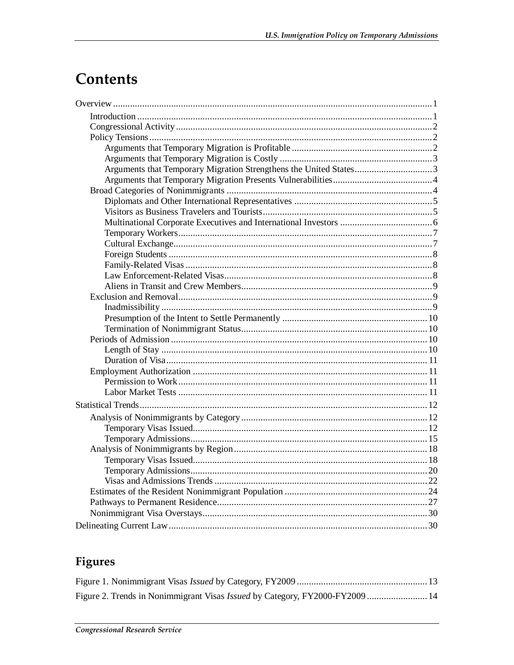## Contents

## Figures

| Figure 2. Trends in Nonimmigrant Visas <i>Issued</i> by Category, FY2000-FY2009  14 |  |
|-------------------------------------------------------------------------------------|--|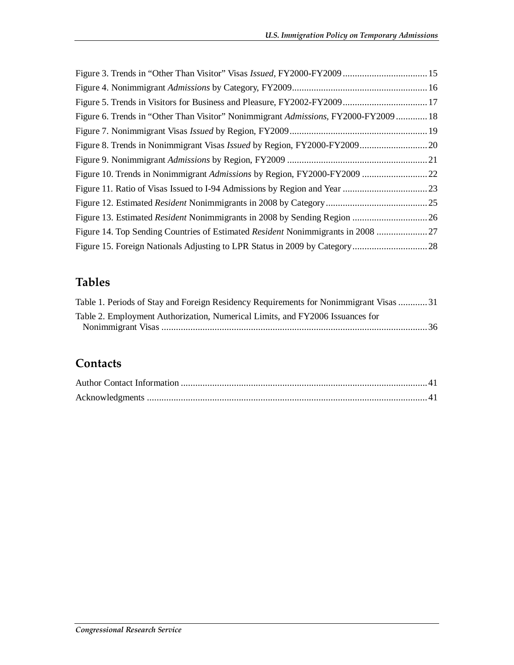| Figure 6. Trends in "Other Than Visitor" Nonimmigrant Admissions, FY2000-FY2009  18 | Figure 3. Trends in "Other Than Visitor" Visas Issued, FY2000-FY2009 15 |  |
|-------------------------------------------------------------------------------------|-------------------------------------------------------------------------|--|
|                                                                                     |                                                                         |  |
|                                                                                     |                                                                         |  |
|                                                                                     |                                                                         |  |
|                                                                                     |                                                                         |  |
|                                                                                     |                                                                         |  |
|                                                                                     |                                                                         |  |
|                                                                                     |                                                                         |  |
|                                                                                     |                                                                         |  |
|                                                                                     |                                                                         |  |
|                                                                                     |                                                                         |  |
| Figure 14. Top Sending Countries of Estimated Resident Nonimmigrants in 2008        |                                                                         |  |
|                                                                                     |                                                                         |  |

## **Tables**

| Table 1. Periods of Stay and Foreign Residency Requirements for Nonimmigrant Visas 31 |  |
|---------------------------------------------------------------------------------------|--|
| Table 2. Employment Authorization, Numerical Limits, and FY2006 Issuances for         |  |
|                                                                                       |  |

### **Contacts**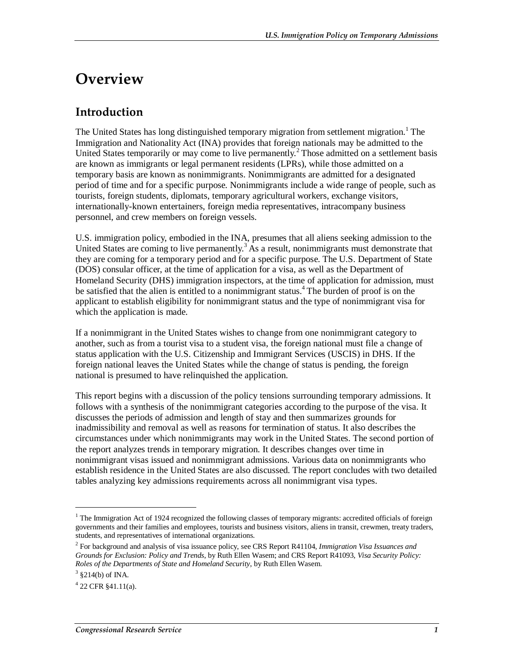## **Overview**

### **Introduction**

The United States has long distinguished temporary migration from settlement migration.<sup>1</sup> The Immigration and Nationality Act (INA) provides that foreign nationals may be admitted to the United States temporarily or may come to live permanently.<sup>2</sup> Those admitted on a settlement basis are known as immigrants or legal permanent residents (LPRs), while those admitted on a temporary basis are known as nonimmigrants. Nonimmigrants are admitted for a designated period of time and for a specific purpose. Nonimmigrants include a wide range of people, such as tourists, foreign students, diplomats, temporary agricultural workers, exchange visitors, internationally-known entertainers, foreign media representatives, intracompany business personnel, and crew members on foreign vessels.

U.S. immigration policy, embodied in the INA, presumes that all aliens seeking admission to the United States are coming to live permanently.<sup>3</sup> As a result, nonimmigrants must demonstrate that they are coming for a temporary period and for a specific purpose. The U.S. Department of State (DOS) consular officer, at the time of application for a visa, as well as the Department of Homeland Security (DHS) immigration inspectors, at the time of application for admission, must be satisfied that the alien is entitled to a nonimmigrant status.<sup>4</sup> The burden of proof is on the applicant to establish eligibility for nonimmigrant status and the type of nonimmigrant visa for which the application is made.

If a nonimmigrant in the United States wishes to change from one nonimmigrant category to another, such as from a tourist visa to a student visa, the foreign national must file a change of status application with the U.S. Citizenship and Immigrant Services (USCIS) in DHS. If the foreign national leaves the United States while the change of status is pending, the foreign national is presumed to have relinquished the application.

This report begins with a discussion of the policy tensions surrounding temporary admissions. It follows with a synthesis of the nonimmigrant categories according to the purpose of the visa. It discusses the periods of admission and length of stay and then summarizes grounds for inadmissibility and removal as well as reasons for termination of status. It also describes the circumstances under which nonimmigrants may work in the United States. The second portion of the report analyzes trends in temporary migration. It describes changes over time in nonimmigrant visas issued and nonimmigrant admissions. Various data on nonimmigrants who establish residence in the United States are also discussed. The report concludes with two detailed tables analyzing key admissions requirements across all nonimmigrant visa types.

<sup>&</sup>lt;sup>1</sup> The Immigration Act of 1924 recognized the following classes of temporary migrants: accredited officials of foreign governments and their families and employees, tourists and business visitors, aliens in transit, crewmen, treaty traders, students, and representatives of international organizations.

<sup>2</sup> For background and analysis of visa issuance policy, see CRS Report R41104, *Immigration Visa Issuances and Grounds for Exclusion: Policy and Trends*, by Ruth Ellen Wasem; and CRS Report R41093, *Visa Security Policy: Roles of the Departments of State and Homeland Security*, by Ruth Ellen Wasem. 3

 $3$  \$214(b) of INA.

<sup>4</sup> 22 CFR §41.11(a).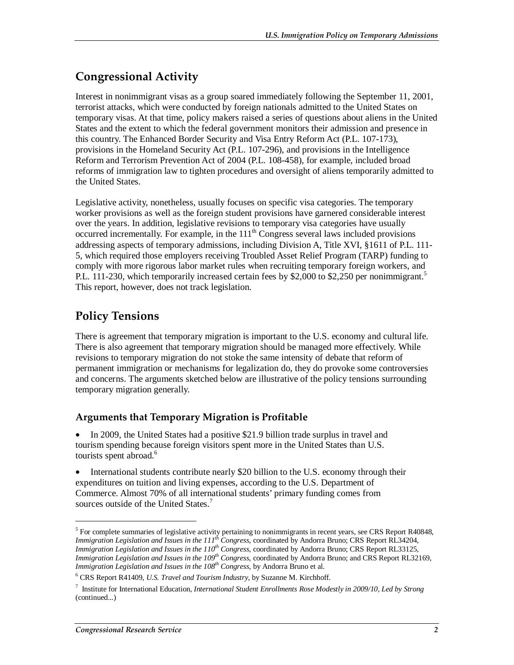## **Congressional Activity**

Interest in nonimmigrant visas as a group soared immediately following the September 11, 2001, terrorist attacks, which were conducted by foreign nationals admitted to the United States on temporary visas. At that time, policy makers raised a series of questions about aliens in the United States and the extent to which the federal government monitors their admission and presence in this country. The Enhanced Border Security and Visa Entry Reform Act (P.L. 107-173), provisions in the Homeland Security Act (P.L. 107-296), and provisions in the Intelligence Reform and Terrorism Prevention Act of 2004 (P.L. 108-458), for example, included broad reforms of immigration law to tighten procedures and oversight of aliens temporarily admitted to the United States.

Legislative activity, nonetheless, usually focuses on specific visa categories. The temporary worker provisions as well as the foreign student provisions have garnered considerable interest over the years. In addition, legislative revisions to temporary visa categories have usually occurred incrementally. For example, in the  $111<sup>th</sup>$  Congress several laws included provisions addressing aspects of temporary admissions, including Division A, Title XVI, §1611 of P.L. 111- 5, which required those employers receiving Troubled Asset Relief Program (TARP) funding to comply with more rigorous labor market rules when recruiting temporary foreign workers, and P.L. 111-230, which temporarily increased certain fees by \$2,000 to \$2,250 per nonimmigrant.<sup>5</sup> This report, however, does not track legislation.

## **Policy Tensions**

There is agreement that temporary migration is important to the U.S. economy and cultural life. There is also agreement that temporary migration should be managed more effectively. While revisions to temporary migration do not stoke the same intensity of debate that reform of permanent immigration or mechanisms for legalization do, they do provoke some controversies and concerns. The arguments sketched below are illustrative of the policy tensions surrounding temporary migration generally.

#### **Arguments that Temporary Migration is Profitable**

• In 2009, the United States had a positive \$21.9 billion trade surplus in travel and tourism spending because foreign visitors spent more in the United States than U.S. tourists spent abroad.<sup>6</sup>

• International students contribute nearly \$20 billion to the U.S. economy through their expenditures on tuition and living expenses, according to the U.S. Department of Commerce. Almost 70% of all international students' primary funding comes from sources outside of the United States.<sup>7</sup>

<sup>&</sup>lt;sup>5</sup> For complete summaries of legislative activity pertaining to nonimmigrants in recent years, see CRS Report R40848, *Immigration Legislation and Issues in the 111th Congress*, coordinated by Andorra Bruno; CRS Report RL34204, *Immigration Legislation and Issues in the 110<sup>th</sup> Congress, coordinated by Andorra Bruno; CRS Report RL33125, Immigration Legislation and Issues in the 109<sup>th</sup> Congress, coordinated by Andorra Bruno; and CRS Report RL32169, Immigration Legislation and Issues in the 108<sup>th</sup> Congress*, by Andorra Bruno et al.

<sup>6</sup> CRS Report R41409, *U.S. Travel and Tourism Industry*, by Suzanne M. Kirchhoff.

<sup>7</sup> Institute for International Education, *International Student Enrollments Rose Modestly in 2009/10, Led by Strong*  (continued...)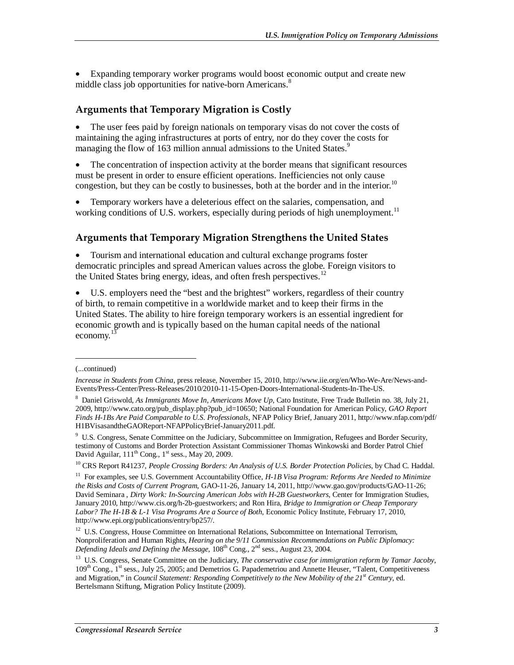• Expanding temporary worker programs would boost economic output and create new middle class job opportunities for native-born Americans.<sup>8</sup>

#### **Arguments that Temporary Migration is Costly**

The user fees paid by foreign nationals on temporary visas do not cover the costs of maintaining the aging infrastructures at ports of entry, nor do they cover the costs for managing the flow of 163 million annual admissions to the United States.<sup>9</sup>

• The concentration of inspection activity at the border means that significant resources must be present in order to ensure efficient operations. Inefficiencies not only cause congestion, but they can be costly to businesses, both at the border and in the interior.<sup>10</sup>

• Temporary workers have a deleterious effect on the salaries, compensation, and working conditions of U.S. workers, especially during periods of high unemployment.<sup>11</sup>

#### **Arguments that Temporary Migration Strengthens the United States**

• Tourism and international education and cultural exchange programs foster democratic principles and spread American values across the globe. Foreign visitors to the United States bring energy, ideas, and often fresh perspectives.<sup>12</sup>

• U.S. employers need the "best and the brightest" workers, regardless of their country of birth, to remain competitive in a worldwide market and to keep their firms in the United States. The ability to hire foreign temporary workers is an essential ingredient for economic growth and is typically based on the human capital needs of the national economy.<sup>13</sup>

<sup>(...</sup>continued)

*Increase in Students from China*, press release, November 15, 2010, http://www.iie.org/en/Who-We-Are/News-and-Events/Press-Center/Press-Releases/2010/2010-11-15-Open-Doors-International-Students-In-The-US.

<sup>8</sup> Daniel Griswold, *As Immigrants Move In, Americans Move Up*, Cato Institute, Free Trade Bulletin no. 38, July 21, 2009, http://www.cato.org/pub\_display.php?pub\_id=10650; National Foundation for American Policy, *GAO Report Finds H-1Bs Are Paid Comparable to U.S. Professionals*, NFAP Policy Brief, January 2011, http://www.nfap.com/pdf/ H1BVisasandtheGAOReport-NFAPPolicyBrief-January2011.pdf.

<sup>&</sup>lt;sup>9</sup> U.S. Congress, Senate Committee on the Judiciary, Subcommittee on Immigration, Refugees and Border Security, testimony of Customs and Border Protection Assistant Commissioner Thomas Winkowski and Border Patrol Chief David Aguilar,  $111^{th}$  Cong.,  $1^{st}$  sess., May 20, 2009.

<sup>&</sup>lt;sup>10</sup> CRS Report R41237, *People Crossing Borders: An Analysis of U.S. Border Protection Policies*, by Chad C. Haddal.

<sup>&</sup>lt;sup>11</sup> For examples, see U.S. Government Accountability Office, *H-1B Visa Program: Reforms Are Needed to Minimize the Risks and Costs of Current Program*, GAO-11-26, January 14, 2011, http://www.gao.gov/products/GAO-11-26; David Seminara , *Dirty Work: In-Sourcing American Jobs with H-2B Guestworkers*, Center for Immigration Studies, January 2010, http://www.cis.org/h-2b-guestworkers; and Ron Hira, *Bridge to Immigration or Cheap Temporary Labor? The H-1B & L-1 Visa Programs Are a Source of Both*, Economic Policy Institute, February 17, 2010, http://www.epi.org/publications/entry/bp257/.

<sup>&</sup>lt;sup>12</sup> U.S. Congress, House Committee on International Relations, Subcommittee on International Terrorism, Nonproliferation and Human Rights, *Hearing on the 9/11 Commission Recommendations on Public Diplomacy: Defending Ideals and Defining the Message*, 108th Cong., 2nd sess., August 23, 2004.

<sup>&</sup>lt;sup>13</sup> U.S. Congress, Senate Committee on the Judiciary, *The conservative case for immigration reform by Tamar Jacoby*, 109<sup>th</sup> Cong., 1<sup>st</sup> sess., July 25, 2005; and Demetrios G. Papademetriou and Annette Heuser, "Talent, Competitiveness" and Migration," in *Council Statement: Responding Competitively to the New Mobility of the 21<sup>st</sup> Century, ed.* Bertelsmann Stiftung, Migration Policy Institute (2009).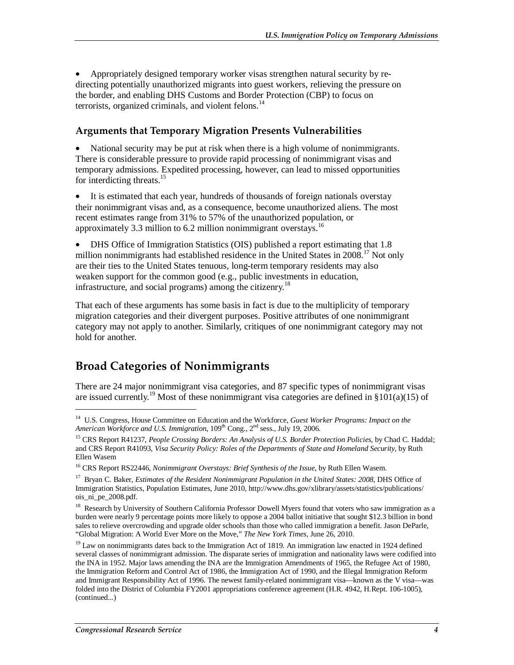• Appropriately designed temporary worker visas strengthen natural security by redirecting potentially unauthorized migrants into guest workers, relieving the pressure on the border, and enabling DHS Customs and Border Protection (CBP) to focus on terrorists, organized criminals, and violent felons. $14$ 

#### **Arguments that Temporary Migration Presents Vulnerabilities**

National security may be put at risk when there is a high volume of nonimmigrants. There is considerable pressure to provide rapid processing of nonimmigrant visas and temporary admissions. Expedited processing, however, can lead to missed opportunities for interdicting threats.<sup>15</sup>

• It is estimated that each year, hundreds of thousands of foreign nationals overstay their nonimmigrant visas and, as a consequence, become unauthorized aliens. The most recent estimates range from 31% to 57% of the unauthorized population, or approximately 3.3 million to 6.2 million nonimmigrant overstays.<sup>16</sup>

• DHS Office of Immigration Statistics (OIS) published a report estimating that 1.8 million nonimmigrants had established residence in the United States in 2008.<sup>17</sup> Not only are their ties to the United States tenuous, long-term temporary residents may also weaken support for the common good (e.g., public investments in education, infrastructure, and social programs) among the citizenry.<sup>18</sup>

That each of these arguments has some basis in fact is due to the multiplicity of temporary migration categories and their divergent purposes. Positive attributes of one nonimmigrant category may not apply to another. Similarly, critiques of one nonimmigrant category may not hold for another.

### **Broad Categories of Nonimmigrants**

There are 24 major nonimmigrant visa categories, and 87 specific types of nonimmigrant visas are issued currently.<sup>19</sup> Most of these nonimmigrant visa categories are defined in §101(a)(15) of

<sup>18</sup> Research by University of Southern California Professor Dowell Myers found that voters who saw immigration as a burden were nearly 9 percentage points more likely to oppose a 2004 ballot initiative that sought \$12.3 billion in bond sales to relieve overcrowding and upgrade older schools than those who called immigration a benefit. Jason DeParle, "Global Migration: A World Ever More on the Move," *The New York Times*, June 26, 2010.

<sup>14</sup> U.S. Congress, House Committee on Education and the Workforce, *Guest Worker Programs: Impact on the*  American Workforce and U.S. Immigration, 109<sup>th</sup> Cong., 2<sup>nd</sup> sess., July 19, 2006.

<sup>15</sup> CRS Report R41237, *People Crossing Borders: An Analysis of U.S. Border Protection Policies*, by Chad C. Haddal; and CRS Report R41093, *Visa Security Policy: Roles of the Departments of State and Homeland Security*, by Ruth Ellen Wasem

<sup>16</sup> CRS Report RS22446, *Nonimmigrant Overstays: Brief Synthesis of the Issue*, by Ruth Ellen Wasem.

<sup>&</sup>lt;sup>17</sup> Bryan C. Baker, *Estimates of the Resident Nonimmigrant Population in the United States: 2008*, DHS Office of Immigration Statistics, Population Estimates, June 2010, http://www.dhs.gov/xlibrary/assets/statistics/publications/ ois\_ni\_pe\_2008.pdf.

<sup>&</sup>lt;sup>19</sup> Law on nonimmigrants dates back to the Immigration Act of 1819. An immigration law enacted in 1924 defined several classes of nonimmigrant admission. The disparate series of immigration and nationality laws were codified into the INA in 1952. Major laws amending the INA are the Immigration Amendments of 1965, the Refugee Act of 1980, the Immigration Reform and Control Act of 1986, the Immigration Act of 1990, and the Illegal Immigration Reform and Immigrant Responsibility Act of 1996. The newest family-related nonimmigrant visa—known as the V visa—was folded into the District of Columbia FY2001 appropriations conference agreement (H.R. 4942, H.Rept. 106-1005), (continued...)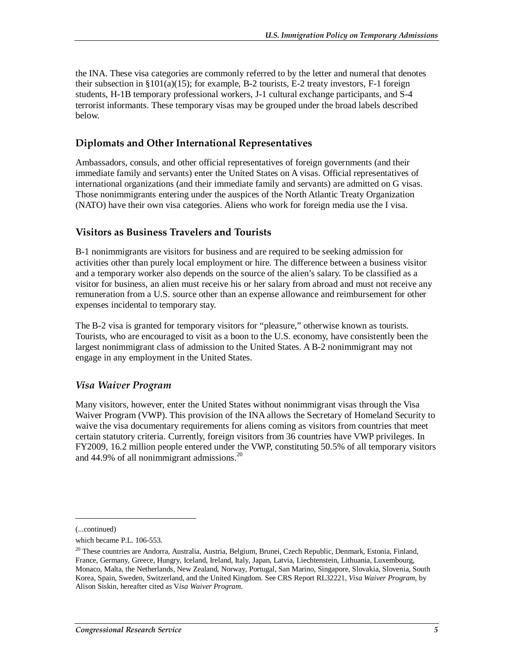the INA. These visa categories are commonly referred to by the letter and numeral that denotes their subsection in §101(a)(15); for example, B-2 tourists, E-2 treaty investors, F-1 foreign students, H-1B temporary professional workers, J-1 cultural exchange participants, and S-4 terrorist informants. These temporary visas may be grouped under the broad labels described below.

#### **Diplomats and Other International Representatives**

Ambassadors, consuls, and other official representatives of foreign governments (and their immediate family and servants) enter the United States on A visas. Official representatives of international organizations (and their immediate family and servants) are admitted on G visas. Those nonimmigrants entering under the auspices of the North Atlantic Treaty Organization (NATO) have their own visa categories. Aliens who work for foreign media use the I visa.

#### **Visitors as Business Travelers and Tourists**

B-1 nonimmigrants are visitors for business and are required to be seeking admission for activities other than purely local employment or hire. The difference between a business visitor and a temporary worker also depends on the source of the alien's salary. To be classified as a visitor for business, an alien must receive his or her salary from abroad and must not receive any remuneration from a U.S. source other than an expense allowance and reimbursement for other expenses incidental to temporary stay.

The B-2 visa is granted for temporary visitors for "pleasure," otherwise known as tourists. Tourists, who are encouraged to visit as a boon to the U.S. economy, have consistently been the largest nonimmigrant class of admission to the United States. A B-2 nonimmigrant may not engage in any employment in the United States.

#### *Visa Waiver Program*

Many visitors, however, enter the United States without nonimmigrant visas through the Visa Waiver Program (VWP). This provision of the INA allows the Secretary of Homeland Security to waive the visa documentary requirements for aliens coming as visitors from countries that meet certain statutory criteria. Currently, foreign visitors from 36 countries have VWP privileges. In FY2009, 16.2 million people entered under the VWP, constituting 50.5% of all temporary visitors and 44.9% of all nonimmigrant admissions. $^{20}$ 

<sup>(...</sup>continued)

which became P.L. 106-553.

<sup>&</sup>lt;sup>20</sup> These countries are Andorra, Australia, Austria, Belgium, Brunei, Czech Republic, Denmark, Estonia, Finland, France, Germany, Greece, Hungry, Iceland, Ireland, Italy, Japan, Latvia, Liechtenstein, Lithuania, Luxembourg, Monaco, Malta, the Netherlands, New Zealand, Norway, Portugal, San Marino, Singapore, Slovakia, Slovenia, South Korea, Spain, Sweden, Switzerland, and the United Kingdom. See CRS Report RL32221, *Visa Waiver Program*, by Alison Siskin, hereafter cited as V*isa Waiver Program*.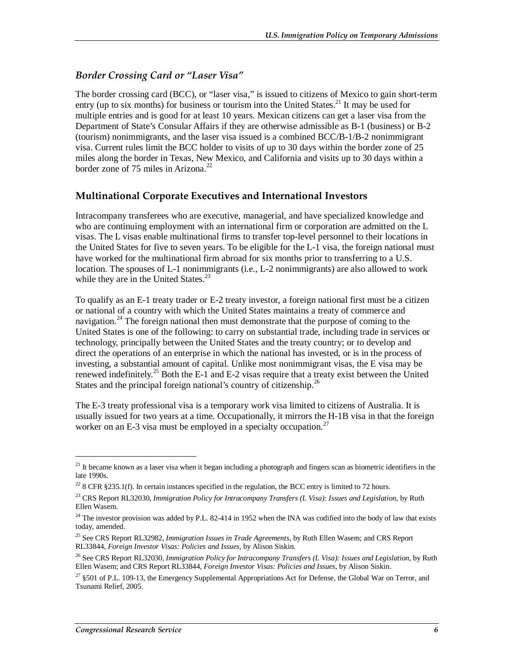#### *Border Crossing Card or "Laser Visa"*

The border crossing card (BCC), or "laser visa," is issued to citizens of Mexico to gain short-term entry (up to six months) for business or tourism into the United States.<sup>21</sup> It may be used for multiple entries and is good for at least 10 years. Mexican citizens can get a laser visa from the Department of State's Consular Affairs if they are otherwise admissible as B-1 (business) or B-2 (tourism) nonimmigrants, and the laser visa issued is a combined BCC/B-1/B-2 nonimmigrant visa. Current rules limit the BCC holder to visits of up to 30 days within the border zone of 25 miles along the border in Texas, New Mexico, and California and visits up to 30 days within a border zone of 75 miles in Arizona. $^{22}$ 

#### **Multinational Corporate Executives and International Investors**

Intracompany transferees who are executive, managerial, and have specialized knowledge and who are continuing employment with an international firm or corporation are admitted on the L visas. The L visas enable multinational firms to transfer top-level personnel to their locations in the United States for five to seven years. To be eligible for the L-1 visa, the foreign national must have worked for the multinational firm abroad for six months prior to transferring to a U.S. location. The spouses of L-1 nonimmigrants (i.e., L-2 nonimmigrants) are also allowed to work while they are in the United States.<sup>23</sup>

To qualify as an E-1 treaty trader or E-2 treaty investor, a foreign national first must be a citizen or national of a country with which the United States maintains a treaty of commerce and navigation.<sup>24</sup> The foreign national then must demonstrate that the purpose of coming to the United States is one of the following: to carry on substantial trade, including trade in services or technology, principally between the United States and the treaty country; or to develop and direct the operations of an enterprise in which the national has invested, or is in the process of investing, a substantial amount of capital. Unlike most nonimmigrant visas, the E visa may be renewed indefinitely.<sup>25</sup> Both the E-1 and E-2 visas require that a treaty exist between the United States and the principal foreign national's country of citizenship.<sup>26</sup>

The E-3 treaty professional visa is a temporary work visa limited to citizens of Australia. It is usually issued for two years at a time. Occupationally, it mirrors the H-1B visa in that the foreign worker on an E-3 visa must be employed in a specialty occupation.<sup>27</sup>

 $21$  It became known as a laser visa when it began including a photograph and fingers scan as biometric identifiers in the late 1990s.

<sup>&</sup>lt;sup>22</sup> 8 CFR §235.1(f). In certain instances specified in the regulation, the BCC entry is limited to 72 hours.

<sup>23</sup> CRS Report RL32030, *Immigration Policy for Intracompany Transfers (L Visa): Issues and Legislation*, by Ruth Ellen Wasem.

 $24$  The investor provision was added by P.L. 82-414 in 1952 when the INA was codified into the body of law that exists today, amended.

<sup>25</sup> See CRS Report RL32982, *Immigration Issues in Trade Agreements*, by Ruth Ellen Wasem; and CRS Report RL33844, *Foreign Investor Visas: Policies and Issues*, by Alison Siskin.

<sup>&</sup>lt;sup>26</sup> See CRS Report RL32030, *Immigration Policy for Intracompany Transfers (L Visa): Issues and Legislation*, by Ruth Ellen Wasem; and CRS Report RL33844, *Foreign Investor Visas: Policies and Issues*, by Alison Siskin.

<sup>&</sup>lt;sup>27</sup> §501 of P.L. 109-13, the Emergency Supplemental Appropriations Act for Defense, the Global War on Terror, and Tsunami Relief, 2005.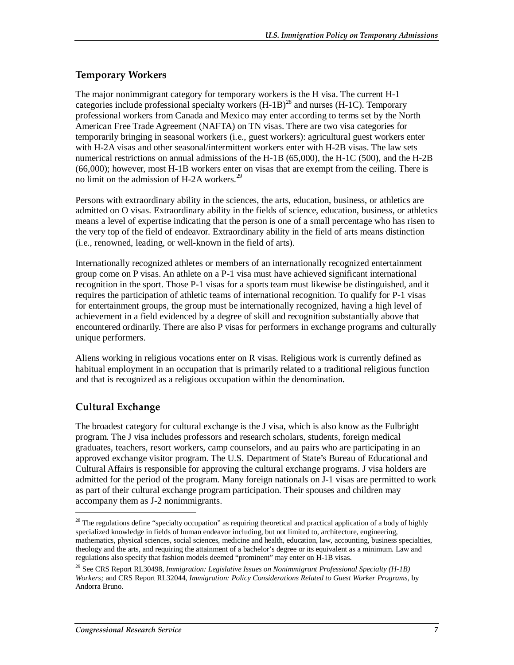#### **Temporary Workers**

The major nonimmigrant category for temporary workers is the H visa. The current H-1 categories include professional specialty workers  $(H-1B)^{28}$  and nurses  $(H-1C)$ . Temporary professional workers from Canada and Mexico may enter according to terms set by the North American Free Trade Agreement (NAFTA) on TN visas. There are two visa categories for temporarily bringing in seasonal workers (i.e., guest workers): agricultural guest workers enter with H-2A visas and other seasonal/intermittent workers enter with H-2B visas. The law sets numerical restrictions on annual admissions of the H-1B (65,000), the H-1C (500), and the H-2B (66,000); however, most H-1B workers enter on visas that are exempt from the ceiling. There is no limit on the admission of H-2A workers.<sup>29</sup>

Persons with extraordinary ability in the sciences, the arts, education, business, or athletics are admitted on O visas. Extraordinary ability in the fields of science, education, business, or athletics means a level of expertise indicating that the person is one of a small percentage who has risen to the very top of the field of endeavor. Extraordinary ability in the field of arts means distinction (i.e., renowned, leading, or well-known in the field of arts).

Internationally recognized athletes or members of an internationally recognized entertainment group come on P visas. An athlete on a P-1 visa must have achieved significant international recognition in the sport. Those P-1 visas for a sports team must likewise be distinguished, and it requires the participation of athletic teams of international recognition. To qualify for P-1 visas for entertainment groups, the group must be internationally recognized, having a high level of achievement in a field evidenced by a degree of skill and recognition substantially above that encountered ordinarily. There are also P visas for performers in exchange programs and culturally unique performers.

Aliens working in religious vocations enter on R visas. Religious work is currently defined as habitual employment in an occupation that is primarily related to a traditional religious function and that is recognized as a religious occupation within the denomination.

#### **Cultural Exchange**

<u>.</u>

The broadest category for cultural exchange is the J visa, which is also know as the Fulbright program. The J visa includes professors and research scholars, students, foreign medical graduates, teachers, resort workers, camp counselors, and au pairs who are participating in an approved exchange visitor program. The U.S. Department of State's Bureau of Educational and Cultural Affairs is responsible for approving the cultural exchange programs. J visa holders are admitted for the period of the program. Many foreign nationals on J-1 visas are permitted to work as part of their cultural exchange program participation. Their spouses and children may accompany them as J-2 nonimmigrants.

 $28$  The regulations define "specialty occupation" as requiring theoretical and practical application of a body of highly specialized knowledge in fields of human endeavor including, but not limited to, architecture, engineering, mathematics, physical sciences, social sciences, medicine and health, education, law, accounting, business specialties, theology and the arts, and requiring the attainment of a bachelor's degree or its equivalent as a minimum. Law and regulations also specify that fashion models deemed "prominent" may enter on H-1B visas.

<sup>29</sup> See CRS Report RL30498, *Immigration: Legislative Issues on Nonimmigrant Professional Specialty (H-1B) Workers;* and CRS Report RL32044, *Immigration: Policy Considerations Related to Guest Worker Programs*, by Andorra Bruno.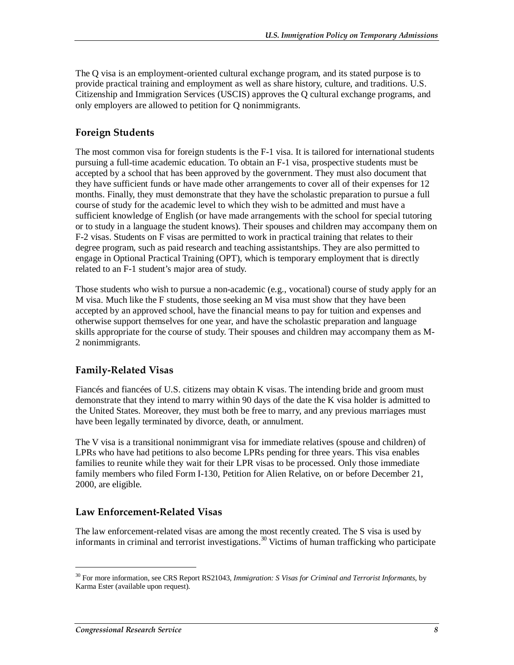The Q visa is an employment-oriented cultural exchange program, and its stated purpose is to provide practical training and employment as well as share history, culture, and traditions. U.S. Citizenship and Immigration Services (USCIS) approves the Q cultural exchange programs, and only employers are allowed to petition for Q nonimmigrants.

#### **Foreign Students**

The most common visa for foreign students is the F-1 visa. It is tailored for international students pursuing a full-time academic education. To obtain an F-1 visa, prospective students must be accepted by a school that has been approved by the government. They must also document that they have sufficient funds or have made other arrangements to cover all of their expenses for 12 months. Finally, they must demonstrate that they have the scholastic preparation to pursue a full course of study for the academic level to which they wish to be admitted and must have a sufficient knowledge of English (or have made arrangements with the school for special tutoring or to study in a language the student knows). Their spouses and children may accompany them on F-2 visas. Students on F visas are permitted to work in practical training that relates to their degree program, such as paid research and teaching assistantships. They are also permitted to engage in Optional Practical Training (OPT), which is temporary employment that is directly related to an F-1 student's major area of study.

Those students who wish to pursue a non-academic (e.g., vocational) course of study apply for an M visa. Much like the F students, those seeking an M visa must show that they have been accepted by an approved school, have the financial means to pay for tuition and expenses and otherwise support themselves for one year, and have the scholastic preparation and language skills appropriate for the course of study. Their spouses and children may accompany them as M-2 nonimmigrants.

#### **Family-Related Visas**

Fiancés and fiancées of U.S. citizens may obtain K visas. The intending bride and groom must demonstrate that they intend to marry within 90 days of the date the K visa holder is admitted to the United States. Moreover, they must both be free to marry, and any previous marriages must have been legally terminated by divorce, death, or annulment.

The V visa is a transitional nonimmigrant visa for immediate relatives (spouse and children) of LPRs who have had petitions to also become LPRs pending for three years. This visa enables families to reunite while they wait for their LPR visas to be processed. Only those immediate family members who filed Form I-130, Petition for Alien Relative, on or before December 21, 2000, are eligible.

#### **Law Enforcement-Related Visas**

The law enforcement-related visas are among the most recently created. The S visa is used by informants in criminal and terrorist investigations.<sup>30</sup> Victims of human trafficking who participate

<sup>&</sup>lt;sup>30</sup> For more information, see CRS Report RS21043, *Immigration: S Visas for Criminal and Terrorist Informants*, by Karma Ester (available upon request).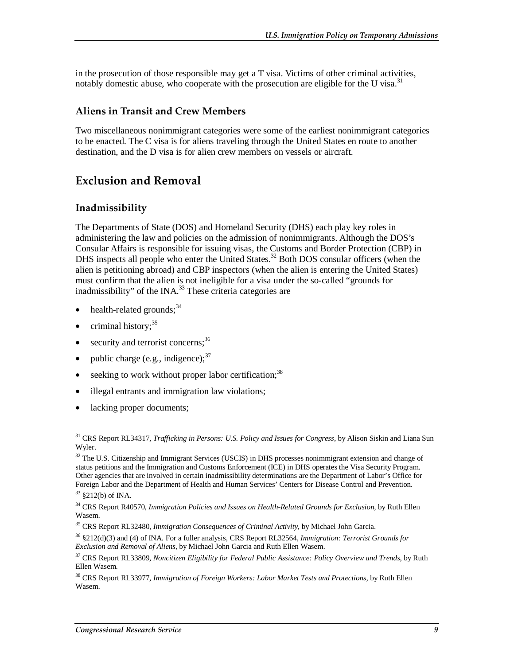in the prosecution of those responsible may get a T visa. Victims of other criminal activities, notably domestic abuse, who cooperate with the prosecution are eligible for the U visa.<sup>31</sup>

#### **Aliens in Transit and Crew Members**

Two miscellaneous nonimmigrant categories were some of the earliest nonimmigrant categories to be enacted. The C visa is for aliens traveling through the United States en route to another destination, and the D visa is for alien crew members on vessels or aircraft.

## **Exclusion and Removal**

#### **Inadmissibility**

The Departments of State (DOS) and Homeland Security (DHS) each play key roles in administering the law and policies on the admission of nonimmigrants. Although the DOS's Consular Affairs is responsible for issuing visas, the Customs and Border Protection (CBP) in DHS inspects all people who enter the United States.<sup>32</sup> Both DOS consular officers (when the alien is petitioning abroad) and CBP inspectors (when the alien is entering the United States) must confirm that the alien is not ineligible for a visa under the so-called "grounds for inadmissibility" of the INA. $^{33}$  These criteria categories are

- health-related grounds; $34$
- criminal history;<sup>35</sup>
- security and terrorist concerns;<sup>36</sup>
- public charge (e.g., indigence);  $37$
- seeking to work without proper labor certification;  $38$
- illegal entrants and immigration law violations;
- lacking proper documents;

<sup>31</sup> CRS Report RL34317, *Trafficking in Persons: U.S. Policy and Issues for Congress*, by Alison Siskin and Liana Sun Wyler.

<sup>&</sup>lt;sup>32</sup> The U.S. Citizenship and Immigrant Services (USCIS) in DHS processes nonimmigrant extension and change of status petitions and the Immigration and Customs Enforcement (ICE) in DHS operates the Visa Security Program. Other agencies that are involved in certain inadmissibility determinations are the Department of Labor's Office for Foreign Labor and the Department of Health and Human Services' Centers for Disease Control and Prevention.

<sup>33 §212(</sup>b) of INA.

<sup>34</sup> CRS Report R40570, *Immigration Policies and Issues on Health-Related Grounds for Exclusion*, by Ruth Ellen Wasem.

<sup>35</sup> CRS Report RL32480, *Immigration Consequences of Criminal Activity*, by Michael John Garcia.

<sup>36 §212(</sup>d)(3) and (4) of INA. For a fuller analysis, CRS Report RL32564, *Immigration: Terrorist Grounds for Exclusion and Removal of Aliens*, by Michael John Garcia and Ruth Ellen Wasem.

<sup>37</sup> CRS Report RL33809, *Noncitizen Eligibility for Federal Public Assistance: Policy Overview and Trends*, by Ruth Ellen Wasem.

<sup>38</sup> CRS Report RL33977, *Immigration of Foreign Workers: Labor Market Tests and Protections*, by Ruth Ellen Wasem.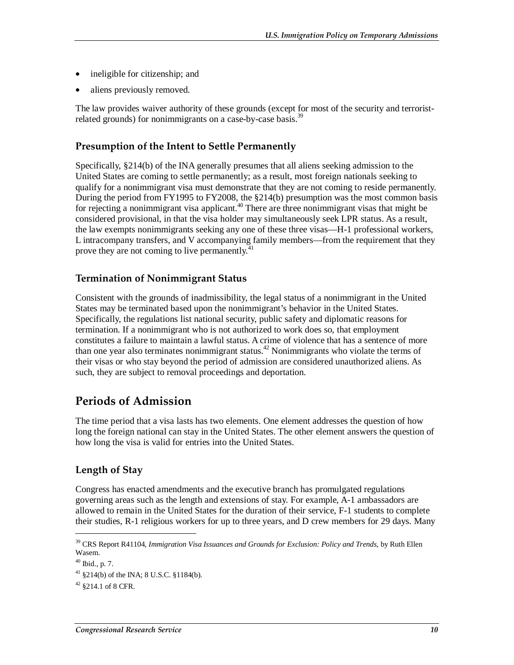- ineligible for citizenship; and
- aliens previously removed.

The law provides waiver authority of these grounds (except for most of the security and terroristrelated grounds) for nonimmigrants on a case-by-case basis.<sup>39</sup>

#### **Presumption of the Intent to Settle Permanently**

Specifically, §214(b) of the INA generally presumes that all aliens seeking admission to the United States are coming to settle permanently; as a result, most foreign nationals seeking to qualify for a nonimmigrant visa must demonstrate that they are not coming to reside permanently. During the period from FY1995 to FY2008, the §214(b) presumption was the most common basis for rejecting a nonimmigrant visa applicant.<sup>40</sup> There are three nonimmigrant visas that might be considered provisional, in that the visa holder may simultaneously seek LPR status. As a result, the law exempts nonimmigrants seeking any one of these three visas—H-1 professional workers, L intracompany transfers, and V accompanying family members—from the requirement that they prove they are not coming to live permanently.<sup>41</sup>

#### **Termination of Nonimmigrant Status**

Consistent with the grounds of inadmissibility, the legal status of a nonimmigrant in the United States may be terminated based upon the nonimmigrant's behavior in the United States. Specifically, the regulations list national security, public safety and diplomatic reasons for termination. If a nonimmigrant who is not authorized to work does so, that employment constitutes a failure to maintain a lawful status. A crime of violence that has a sentence of more than one year also terminates nonimmigrant status.<sup>42</sup> Nonimmigrants who violate the terms of their visas or who stay beyond the period of admission are considered unauthorized aliens. As such, they are subject to removal proceedings and deportation.

### **Periods of Admission**

The time period that a visa lasts has two elements. One element addresses the question of how long the foreign national can stay in the United States. The other element answers the question of how long the visa is valid for entries into the United States.

#### **Length of Stay**

Congress has enacted amendments and the executive branch has promulgated regulations governing areas such as the length and extensions of stay. For example, A-1 ambassadors are allowed to remain in the United States for the duration of their service, F-1 students to complete their studies, R-1 religious workers for up to three years, and D crew members for 29 days. Many

<sup>39</sup> CRS Report R41104, *Immigration Visa Issuances and Grounds for Exclusion: Policy and Trends*, by Ruth Ellen Wasem.

 $40$  Ibid., p. 7.

 $41$  §214(b) of the INA; 8 U.S.C. §1184(b).

 $42$  §214.1 of 8 CFR.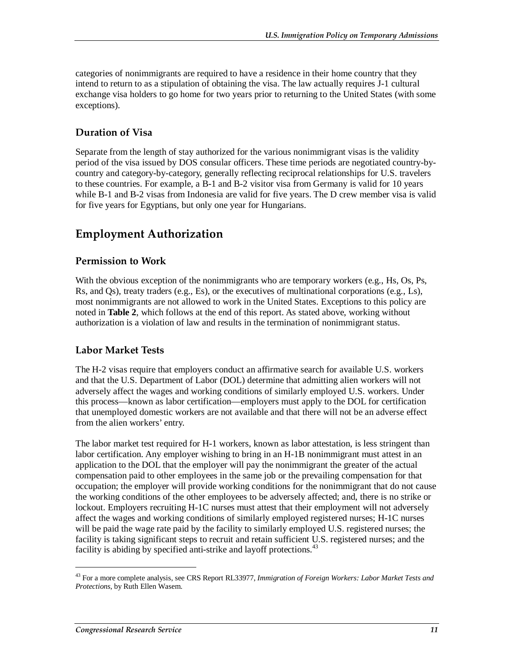categories of nonimmigrants are required to have a residence in their home country that they intend to return to as a stipulation of obtaining the visa. The law actually requires J-1 cultural exchange visa holders to go home for two years prior to returning to the United States (with some exceptions).

#### **Duration of Visa**

Separate from the length of stay authorized for the various nonimmigrant visas is the validity period of the visa issued by DOS consular officers. These time periods are negotiated country-bycountry and category-by-category, generally reflecting reciprocal relationships for U.S. travelers to these countries. For example, a B-1 and B-2 visitor visa from Germany is valid for 10 years while B-1 and B-2 visas from Indonesia are valid for five years. The D crew member visa is valid for five years for Egyptians, but only one year for Hungarians.

## **Employment Authorization**

#### **Permission to Work**

With the obvious exception of the nonimmigrants who are temporary workers (e.g., Hs, Os, Ps, Rs, and Qs), treaty traders (e.g., Es), or the executives of multinational corporations (e.g., Ls), most nonimmigrants are not allowed to work in the United States. Exceptions to this policy are noted in **Table 2**, which follows at the end of this report. As stated above, working without authorization is a violation of law and results in the termination of nonimmigrant status.

#### **Labor Market Tests**

The H-2 visas require that employers conduct an affirmative search for available U.S. workers and that the U.S. Department of Labor (DOL) determine that admitting alien workers will not adversely affect the wages and working conditions of similarly employed U.S. workers. Under this process—known as labor certification—employers must apply to the DOL for certification that unemployed domestic workers are not available and that there will not be an adverse effect from the alien workers' entry.

The labor market test required for H-1 workers, known as labor attestation, is less stringent than labor certification. Any employer wishing to bring in an H-1B nonimmigrant must attest in an application to the DOL that the employer will pay the nonimmigrant the greater of the actual compensation paid to other employees in the same job or the prevailing compensation for that occupation; the employer will provide working conditions for the nonimmigrant that do not cause the working conditions of the other employees to be adversely affected; and, there is no strike or lockout. Employers recruiting H-1C nurses must attest that their employment will not adversely affect the wages and working conditions of similarly employed registered nurses; H-1C nurses will be paid the wage rate paid by the facility to similarly employed U.S. registered nurses; the facility is taking significant steps to recruit and retain sufficient U.S. registered nurses; and the facility is abiding by specified anti-strike and layoff protections.<sup>43</sup>

<sup>43</sup> For a more complete analysis, see CRS Report RL33977, *Immigration of Foreign Workers: Labor Market Tests and Protections*, by Ruth Ellen Wasem.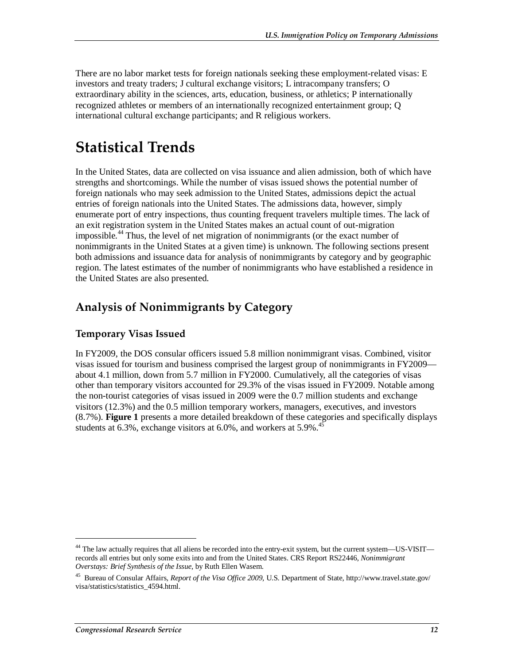There are no labor market tests for foreign nationals seeking these employment-related visas: E investors and treaty traders; J cultural exchange visitors; L intracompany transfers; O extraordinary ability in the sciences, arts, education, business, or athletics; P internationally recognized athletes or members of an internationally recognized entertainment group; Q international cultural exchange participants; and R religious workers.

## **Statistical Trends**

In the United States, data are collected on visa issuance and alien admission, both of which have strengths and shortcomings. While the number of visas issued shows the potential number of foreign nationals who may seek admission to the United States, admissions depict the actual entries of foreign nationals into the United States. The admissions data, however, simply enumerate port of entry inspections, thus counting frequent travelers multiple times. The lack of an exit registration system in the United States makes an actual count of out-migration impossible.44 Thus, the level of net migration of nonimmigrants (or the exact number of nonimmigrants in the United States at a given time) is unknown. The following sections present both admissions and issuance data for analysis of nonimmigrants by category and by geographic region. The latest estimates of the number of nonimmigrants who have established a residence in the United States are also presented.

## **Analysis of Nonimmigrants by Category**

#### **Temporary Visas Issued**

In FY2009, the DOS consular officers issued 5.8 million nonimmigrant visas. Combined, visitor visas issued for tourism and business comprised the largest group of nonimmigrants in FY2009 about 4.1 million, down from 5.7 million in FY2000. Cumulatively, all the categories of visas other than temporary visitors accounted for 29.3% of the visas issued in FY2009. Notable among the non-tourist categories of visas issued in 2009 were the 0.7 million students and exchange visitors (12.3%) and the 0.5 million temporary workers, managers, executives, and investors (8.7%). **Figure 1** presents a more detailed breakdown of these categories and specifically displays students at  $6.3\%$ , exchange visitors at  $6.0\%$ , and workers at  $5.9\%$ .<sup>4</sup>

<sup>&</sup>lt;sup>44</sup> The law actually requires that all aliens be recorded into the entry-exit system, but the current system—US-VISIT records all entries but only some exits into and from the United States. CRS Report RS22446, *Nonimmigrant Overstays: Brief Synthesis of the Issue*, by Ruth Ellen Wasem.

<sup>45</sup> Bureau of Consular Affairs, *Report of the Visa Office 2009*, U.S. Department of State, http://www.travel.state.gov/ visa/statistics/statistics\_4594.html.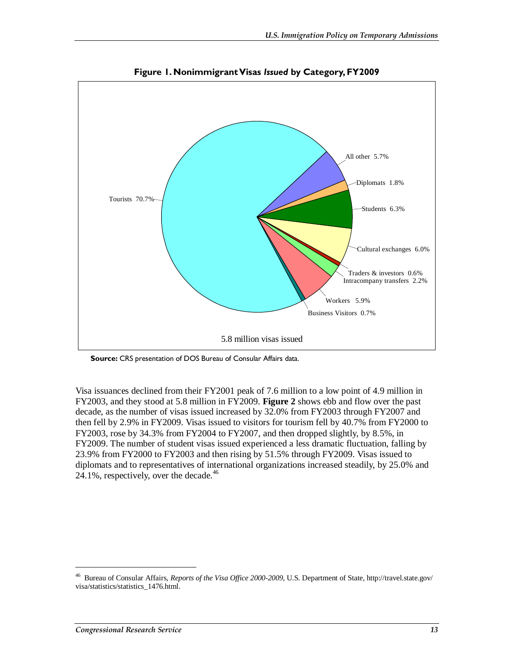

**Figure 1. Nonimmigrant Visas** *Issued* **by Category, FY2009** 

**Source:** CRS presentation of DOS Bureau of Consular Affairs data.

Visa issuances declined from their FY2001 peak of 7.6 million to a low point of 4.9 million in FY2003, and they stood at 5.8 million in FY2009. **Figure 2** shows ebb and flow over the past decade, as the number of visas issued increased by 32.0% from FY2003 through FY2007 and then fell by 2.9% in FY2009. Visas issued to visitors for tourism fell by 40.7% from FY2000 to FY2003, rose by 34.3% from FY2004 to FY2007, and then dropped slightly, by 8.5%, in FY2009. The number of student visas issued experienced a less dramatic fluctuation, falling by 23.9% from FY2000 to FY2003 and then rising by 51.5% through FY2009. Visas issued to diplomats and to representatives of international organizations increased steadily, by 25.0% and 24.1%, respectively, over the decade. $46$ 

<sup>46</sup> Bureau of Consular Affairs, *Reports of the Visa Office 2000-2009*, U.S. Department of State, http://travel.state.gov/ visa/statistics/statistics\_1476.html.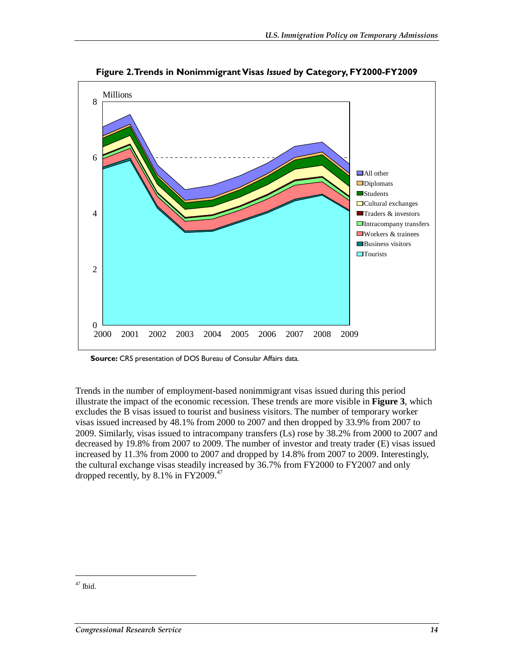

**Figure 2. Trends in Nonimmigrant Visas** *Issued* **by Category, FY2000-FY2009** 

**Source:** CRS presentation of DOS Bureau of Consular Affairs data.

Trends in the number of employment-based nonimmigrant visas issued during this period illustrate the impact of the economic recession. These trends are more visible in **Figure 3**, which excludes the B visas issued to tourist and business visitors. The number of temporary worker visas issued increased by 48.1% from 2000 to 2007 and then dropped by 33.9% from 2007 to 2009. Similarly, visas issued to intracompany transfers (Ls) rose by 38.2% from 2000 to 2007 and decreased by 19.8% from 2007 to 2009. The number of investor and treaty trader (E) visas issued increased by 11.3% from 2000 to 2007 and dropped by 14.8% from 2007 to 2009. Interestingly, the cultural exchange visas steadily increased by 36.7% from FY2000 to FY2007 and only dropped recently, by  $8.1\%$  in FY2009.<sup>47</sup>

 $47$  Ibid.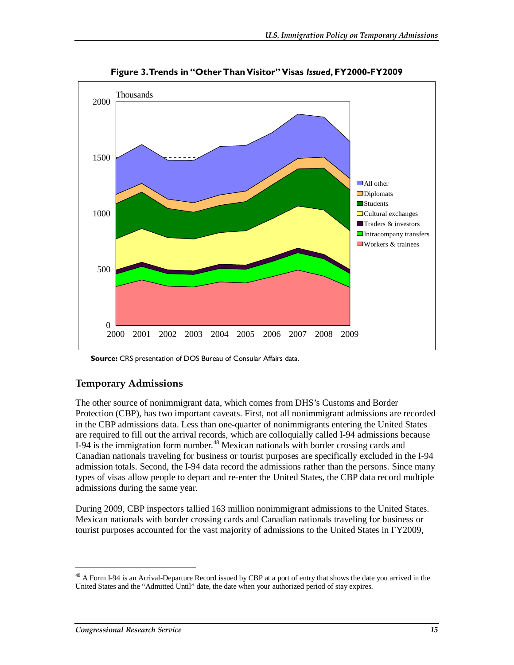

**Figure 3. Trends in "Other Than Visitor" Visas** *Issued***, FY2000-FY2009** 

**Source:** CRS presentation of DOS Bureau of Consular Affairs data.

#### **Temporary Admissions**

The other source of nonimmigrant data, which comes from DHS's Customs and Border Protection (CBP), has two important caveats. First, not all nonimmigrant admissions are recorded in the CBP admissions data. Less than one-quarter of nonimmigrants entering the United States are required to fill out the arrival records, which are colloquially called I-94 admissions because I-94 is the immigration form number.<sup>48</sup> Mexican nationals with border crossing cards and Canadian nationals traveling for business or tourist purposes are specifically excluded in the I-94 admission totals. Second, the I-94 data record the admissions rather than the persons. Since many types of visas allow people to depart and re-enter the United States, the CBP data record multiple admissions during the same year.

During 2009, CBP inspectors tallied 163 million nonimmigrant admissions to the United States. Mexican nationals with border crossing cards and Canadian nationals traveling for business or tourist purposes accounted for the vast majority of admissions to the United States in FY2009,

<sup>&</sup>lt;sup>48</sup> A Form I-94 is an Arrival-Departure Record issued by CBP at a port of entry that shows the date you arrived in the United States and the "Admitted Until" date, the date when your authorized period of stay expires.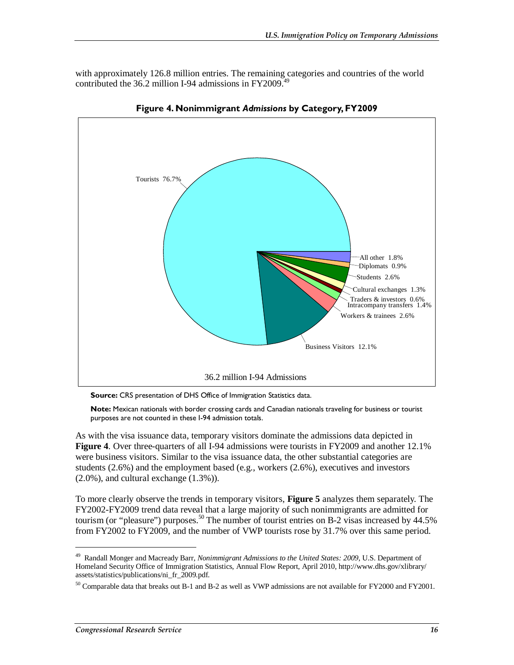with approximately 126.8 million entries. The remaining categories and countries of the world contributed the 36.2 million I-94 admissions in FY2009.<sup>49</sup>



**Figure 4. Nonimmigrant** *Admissions* **by Category, FY2009** 

**Source:** CRS presentation of DHS Office of Immigration Statistics data.

**Note:** Mexican nationals with border crossing cards and Canadian nationals traveling for business or tourist purposes are not counted in these I-94 admission totals.

As with the visa issuance data, temporary visitors dominate the admissions data depicted in **Figure 4**. Over three-quarters of all I-94 admissions were tourists in FY2009 and another 12.1% were business visitors. Similar to the visa issuance data, the other substantial categories are students (2.6%) and the employment based (e.g., workers (2.6%), executives and investors  $(2.0\%)$ , and cultural exchange  $(1.3\%)$ .

To more clearly observe the trends in temporary visitors, **Figure 5** analyzes them separately. The FY2002-FY2009 trend data reveal that a large majority of such nonimmigrants are admitted for tourism (or "pleasure") purposes.<sup>50</sup> The number of tourist entries on B-2 visas increased by  $44.5\%$ from FY2002 to FY2009, and the number of VWP tourists rose by 31.7% over this same period.

<sup>49</sup> Randall Monger and Macready Barr, *Nonimmigrant Admissions to the United States: 2009*, U.S. Department of Homeland Security Office of Immigration Statistics, Annual Flow Report, April 2010, http://www.dhs.gov/xlibrary/ assets/statistics/publications/ni\_fr\_2009.pdf.

<sup>&</sup>lt;sup>50</sup> Comparable data that breaks out B-1 and B-2 as well as VWP admissions are not available for FY2000 and FY2001.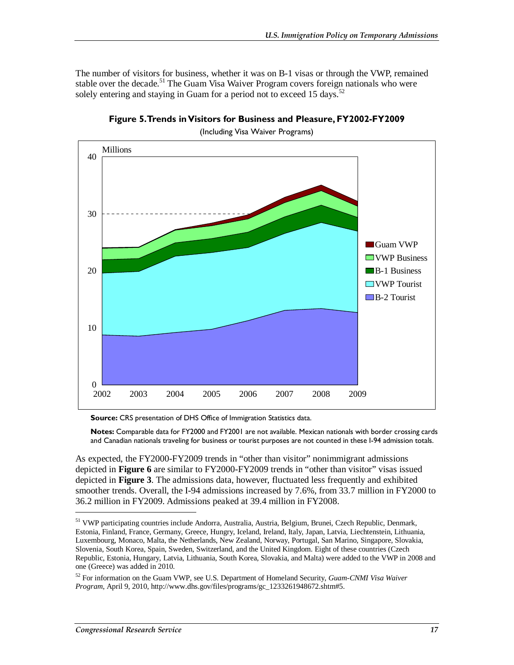The number of visitors for business, whether it was on B-1 visas or through the VWP, remained stable over the decade.<sup>51</sup> The Guam Visa Waiver Program covers foreign nationals who were solely entering and staying in Guam for a period not to exceed 15 days.<sup>52</sup>



**Figure 5. Trends in Visitors for Business and Pleasure, FY2002-FY2009** 

(Including Visa Waiver Programs)

**Source:** CRS presentation of DHS Office of Immigration Statistics data.

**Notes:** Comparable data for FY2000 and FY2001 are not available. Mexican nationals with border crossing cards and Canadian nationals traveling for business or tourist purposes are not counted in these I-94 admission totals.

As expected, the FY2000-FY2009 trends in "other than visitor" nonimmigrant admissions depicted in **Figure 6** are similar to FY2000-FY2009 trends in "other than visitor" visas issued depicted in **Figure 3**. The admissions data, however, fluctuated less frequently and exhibited smoother trends. Overall, the I-94 admissions increased by 7.6%, from 33.7 million in FY2000 to 36.2 million in FY2009. Admissions peaked at 39.4 million in FY2008.

<sup>51</sup> VWP participating countries include Andorra, Australia, Austria, Belgium, Brunei, Czech Republic, Denmark, Estonia, Finland, France, Germany, Greece, Hungry, Iceland, Ireland, Italy, Japan, Latvia, Liechtenstein, Lithuania, Luxembourg, Monaco, Malta, the Netherlands, New Zealand, Norway, Portugal, San Marino, Singapore, Slovakia, Slovenia, South Korea, Spain, Sweden, Switzerland, and the United Kingdom. Eight of these countries (Czech Republic, Estonia, Hungary, Latvia, Lithuania, South Korea, Slovakia, and Malta) were added to the VWP in 2008 and one (Greece) was added in 2010.

<sup>52</sup> For information on the Guam VWP, see U.S. Department of Homeland Security, *Guam-CNMI Visa Waiver Program*, April 9, 2010, http://www.dhs.gov/files/programs/gc\_1233261948672.shtm#5.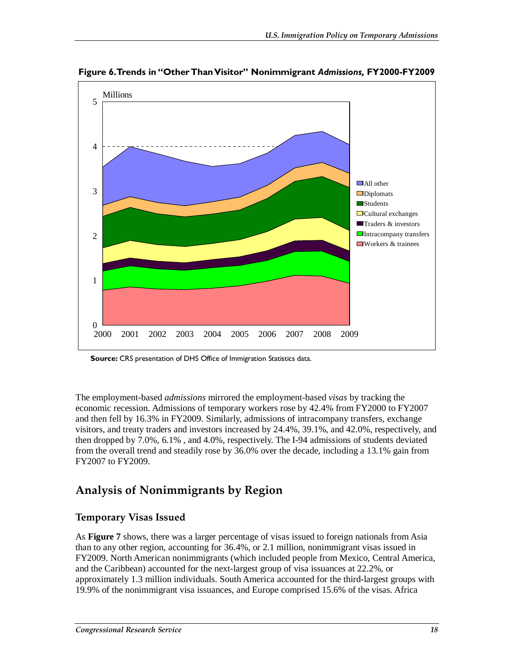

**Figure 6. Trends in "Other Than Visitor" Nonimmigrant** *Admissions,* **FY2000-FY2009** 

**Source:** CRS presentation of DHS Office of Immigration Statistics data.

The employment-based *admissions* mirrored the employment-based *visas* by tracking the economic recession. Admissions of temporary workers rose by 42.4% from FY2000 to FY2007 and then fell by 16.3% in FY2009. Similarly, admissions of intracompany transfers, exchange visitors, and treaty traders and investors increased by 24.4%, 39.1%, and 42.0%, respectively, and then dropped by 7.0%, 6.1% , and 4.0%, respectively. The I-94 admissions of students deviated from the overall trend and steadily rose by 36.0% over the decade, including a 13.1% gain from FY2007 to FY2009.

## **Analysis of Nonimmigrants by Region**

#### **Temporary Visas Issued**

As **Figure 7** shows, there was a larger percentage of visas issued to foreign nationals from Asia than to any other region, accounting for 36.4%, or 2.1 million, nonimmigrant visas issued in FY2009. North American nonimmigrants (which included people from Mexico, Central America, and the Caribbean) accounted for the next-largest group of visa issuances at 22.2%, or approximately 1.3 million individuals. South America accounted for the third-largest groups with 19.9% of the nonimmigrant visa issuances, and Europe comprised 15.6% of the visas. Africa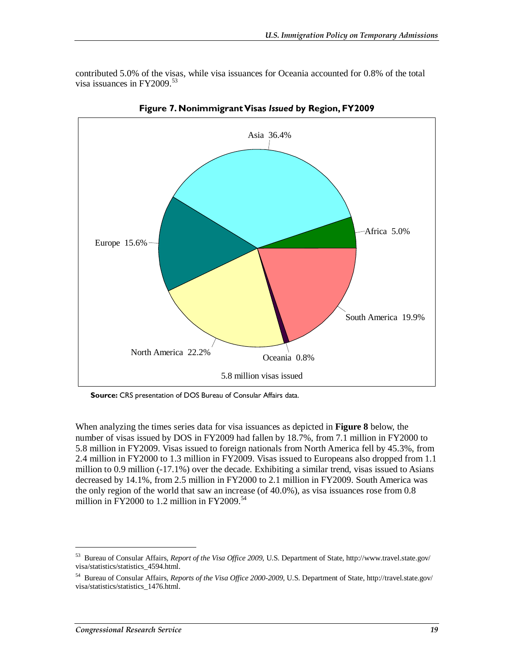contributed 5.0% of the visas, while visa issuances for Oceania accounted for 0.8% of the total visa issuances in FY2009.<sup>53</sup>



**Figure 7. Nonimmigrant Visas** *Issued* **by Region, FY2009** 

**Source:** CRS presentation of DOS Bureau of Consular Affairs data.

When analyzing the times series data for visa issuances as depicted in **Figure 8** below, the number of visas issued by DOS in FY2009 had fallen by 18.7%, from 7.1 million in FY2000 to 5.8 million in FY2009. Visas issued to foreign nationals from North America fell by 45.3%, from 2.4 million in FY2000 to 1.3 million in FY2009. Visas issued to Europeans also dropped from 1.1 million to 0.9 million (-17.1%) over the decade. Exhibiting a similar trend, visas issued to Asians decreased by 14.1%, from 2.5 million in FY2000 to 2.1 million in FY2009. South America was the only region of the world that saw an increase (of 40.0%), as visa issuances rose from 0.8 million in FY2000 to 1.2 million in FY2009. $54$ 

<sup>53</sup> Bureau of Consular Affairs, *Report of the Visa Office 2009*, U.S. Department of State, http://www.travel.state.gov/ visa/statistics/statistics\_4594.html.

<sup>54</sup> Bureau of Consular Affairs, *Reports of the Visa Office 2000-2009*, U.S. Department of State, http://travel.state.gov/ visa/statistics/statistics\_1476.html.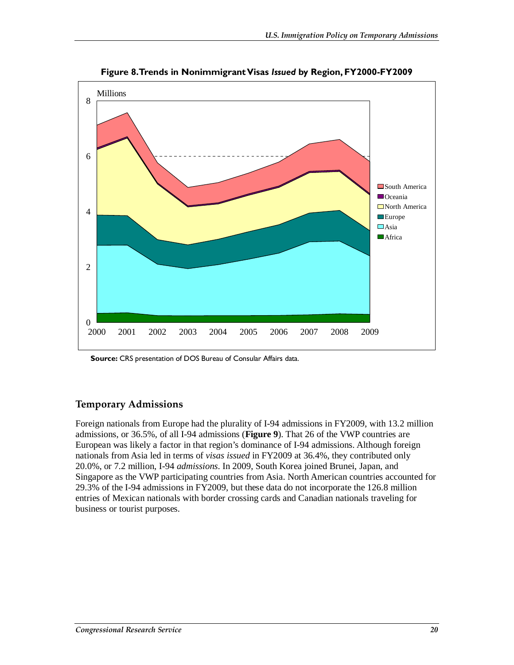

**Figure 8. Trends in Nonimmigrant Visas** *Issued* **by Region, FY2000-FY2009** 

**Source:** CRS presentation of DOS Bureau of Consular Affairs data.

#### **Temporary Admissions**

Foreign nationals from Europe had the plurality of I-94 admissions in FY2009, with 13.2 million admissions, or 36.5%, of all I-94 admissions (**Figure 9**). That 26 of the VWP countries are European was likely a factor in that region's dominance of I-94 admissions. Although foreign nationals from Asia led in terms of *visas issued* in FY2009 at 36.4%, they contributed only 20.0%, or 7.2 million, I-94 *admissions*. In 2009, South Korea joined Brunei, Japan, and Singapore as the VWP participating countries from Asia. North American countries accounted for 29.3% of the I-94 admissions in FY2009, but these data do not incorporate the 126.8 million entries of Mexican nationals with border crossing cards and Canadian nationals traveling for business or tourist purposes.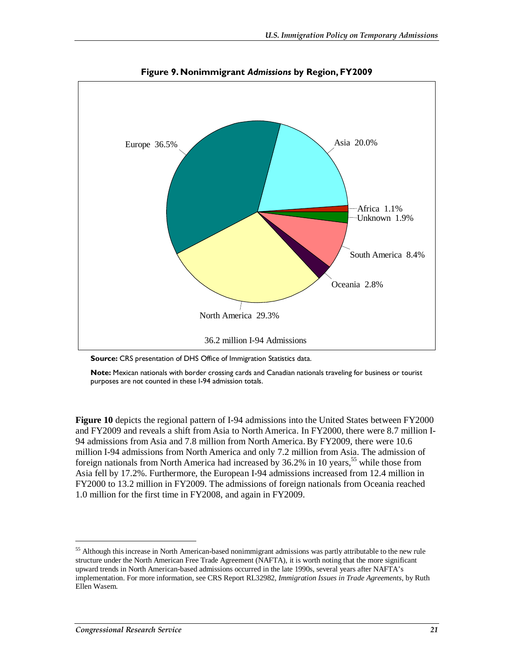

**Figure 9. Nonimmigrant** *Admissions* **by Region, FY2009** 

**Source:** CRS presentation of DHS Office of Immigration Statistics data.

**Note:** Mexican nationals with border crossing cards and Canadian nationals traveling for business or tourist purposes are not counted in these I-94 admission totals.

**Figure 10** depicts the regional pattern of I-94 admissions into the United States between FY2000 and FY2009 and reveals a shift from Asia to North America. In FY2000, there were 8.7 million I-94 admissions from Asia and 7.8 million from North America. By FY2009, there were 10.6 million I-94 admissions from North America and only 7.2 million from Asia. The admission of foreign nationals from North America had increased by  $36.2\%$  in 10 years,<sup>55</sup> while those from Asia fell by 17.2%. Furthermore, the European I-94 admissions increased from 12.4 million in FY2000 to 13.2 million in FY2009. The admissions of foreign nationals from Oceania reached 1.0 million for the first time in FY2008, and again in FY2009.

<sup>&</sup>lt;sup>55</sup> Although this increase in North American-based nonimmigrant admissions was partly attributable to the new rule structure under the North American Free Trade Agreement (NAFTA), it is worth noting that the more significant upward trends in North American-based admissions occurred in the late 1990s, several years after NAFTA's implementation. For more information, see CRS Report RL32982, *Immigration Issues in Trade Agreements*, by Ruth Ellen Wasem.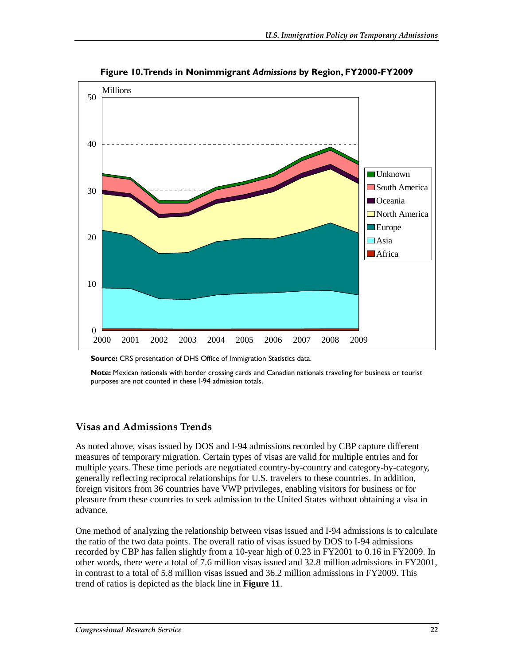

**Figure 10. Trends in Nonimmigrant** *Admissions* **by Region, FY2000-FY2009** 

**Note:** Mexican nationals with border crossing cards and Canadian nationals traveling for business or tourist purposes are not counted in these I-94 admission totals.

#### **Visas and Admissions Trends**

As noted above, visas issued by DOS and I-94 admissions recorded by CBP capture different measures of temporary migration. Certain types of visas are valid for multiple entries and for multiple years. These time periods are negotiated country-by-country and category-by-category, generally reflecting reciprocal relationships for U.S. travelers to these countries. In addition, foreign visitors from 36 countries have VWP privileges, enabling visitors for business or for pleasure from these countries to seek admission to the United States without obtaining a visa in advance.

One method of analyzing the relationship between visas issued and I-94 admissions is to calculate the ratio of the two data points. The overall ratio of visas issued by DOS to I-94 admissions recorded by CBP has fallen slightly from a 10-year high of 0.23 in FY2001 to 0.16 in FY2009. In other words, there were a total of 7.6 million visas issued and 32.8 million admissions in FY2001, in contrast to a total of 5.8 million visas issued and 36.2 million admissions in FY2009. This trend of ratios is depicted as the black line in **Figure 11**.

**Source:** CRS presentation of DHS Office of Immigration Statistics data.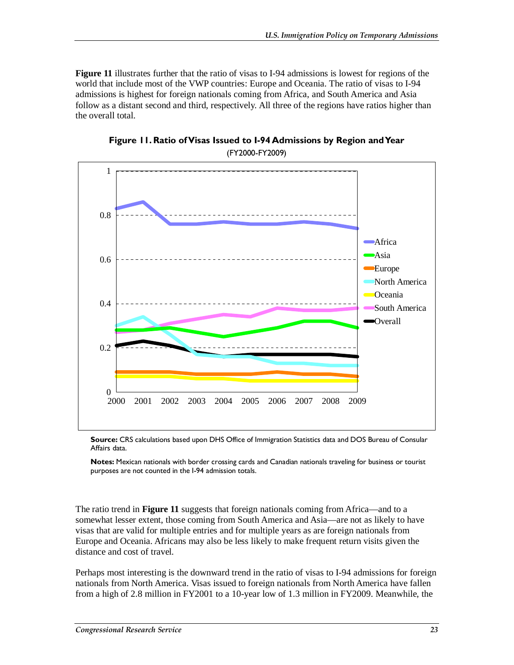**Figure 11** illustrates further that the ratio of visas to I-94 admissions is lowest for regions of the world that include most of the VWP countries: Europe and Oceania. The ratio of visas to I-94 admissions is highest for foreign nationals coming from Africa, and South America and Asia follow as a distant second and third, respectively. All three of the regions have ratios higher than the overall total.



**Figure 11. Ratio of Visas Issued to I-94 Admissions by Region and Year**  (FY2000-FY2009)

**Source:** CRS calculations based upon DHS Office of Immigration Statistics data and DOS Bureau of Consular Affairs data.

**Notes:** Mexican nationals with border crossing cards and Canadian nationals traveling for business or tourist purposes are not counted in the I-94 admission totals.

The ratio trend in **Figure 11** suggests that foreign nationals coming from Africa—and to a somewhat lesser extent, those coming from South America and Asia—are not as likely to have visas that are valid for multiple entries and for multiple years as are foreign nationals from Europe and Oceania. Africans may also be less likely to make frequent return visits given the distance and cost of travel.

Perhaps most interesting is the downward trend in the ratio of visas to I-94 admissions for foreign nationals from North America. Visas issued to foreign nationals from North America have fallen from a high of 2.8 million in FY2001 to a 10-year low of 1.3 million in FY2009. Meanwhile, the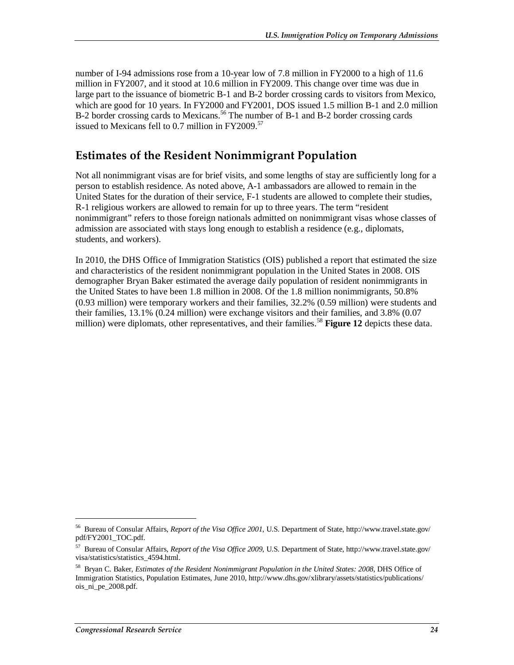number of I-94 admissions rose from a 10-year low of 7.8 million in FY2000 to a high of 11.6 million in FY2007, and it stood at 10.6 million in FY2009. This change over time was due in large part to the issuance of biometric B-1 and B-2 border crossing cards to visitors from Mexico, which are good for 10 years. In FY2000 and FY2001, DOS issued 1.5 million B-1 and 2.0 million B-2 border crossing cards to Mexicans.<sup>56</sup> The number of B-1 and B-2 border crossing cards issued to Mexicans fell to  $0.7$  million in FY2009.<sup>57</sup>

### **Estimates of the Resident Nonimmigrant Population**

Not all nonimmigrant visas are for brief visits, and some lengths of stay are sufficiently long for a person to establish residence. As noted above, A-1 ambassadors are allowed to remain in the United States for the duration of their service, F-1 students are allowed to complete their studies, R-1 religious workers are allowed to remain for up to three years. The term "resident nonimmigrant" refers to those foreign nationals admitted on nonimmigrant visas whose classes of admission are associated with stays long enough to establish a residence (e.g., diplomats, students, and workers).

In 2010, the DHS Office of Immigration Statistics (OIS) published a report that estimated the size and characteristics of the resident nonimmigrant population in the United States in 2008. OIS demographer Bryan Baker estimated the average daily population of resident nonimmigrants in the United States to have been 1.8 million in 2008. Of the 1.8 million nonimmigrants, 50.8% (0.93 million) were temporary workers and their families, 32.2% (0.59 million) were students and their families, 13.1% (0.24 million) were exchange visitors and their families, and 3.8% (0.07 million) were diplomats, other representatives, and their families.<sup>58</sup> **Figure 12** depicts these data.

<sup>56</sup> Bureau of Consular Affairs, *Report of the Visa Office 2001*, U.S. Department of State, http://www.travel.state.gov/ pdf/FY2001\_TOC.pdf.

<sup>57</sup> Bureau of Consular Affairs, *Report of the Visa Office 2009*, U.S. Department of State, http://www.travel.state.gov/ visa/statistics/statistics\_4594.html.

<sup>58</sup> Bryan C. Baker, *Estimates of the Resident Nonimmigrant Population in the United States: 2008*, DHS Office of Immigration Statistics, Population Estimates, June 2010, http://www.dhs.gov/xlibrary/assets/statistics/publications/ ois\_ni\_pe\_2008.pdf.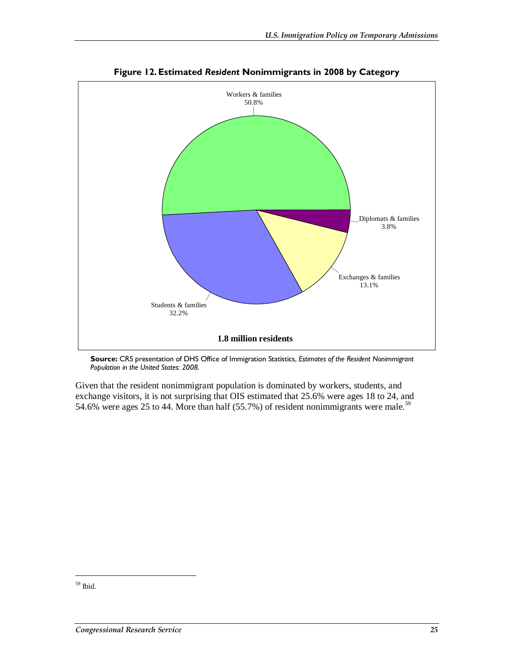

**Figure 12. Estimated** *Resident* **Nonimmigrants in 2008 by Category** 

**Source:** CRS presentation of DHS Office of Immigration Statistics, *Estimates of the Resident Nonimmigrant Population in the United States: 2008.* 

Given that the resident nonimmigrant population is dominated by workers, students, and exchange visitors, it is not surprising that OIS estimated that 25.6% were ages 18 to 24, and 54.6% were ages 25 to 44. More than half  $(55.7%)$  of resident nonimmigrants were male.<sup>59</sup>

<sup>59</sup> Ibid.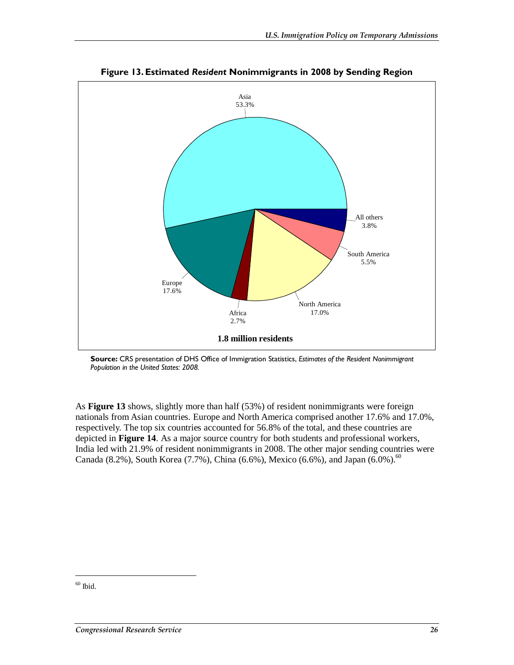

**Figure 13. Estimated** *Resident* **Nonimmigrants in 2008 by Sending Region** 

**Source:** CRS presentation of DHS Office of Immigration Statistics, *Estimates of the Resident Nonimmigrant Population in the United States: 2008.* 

As **Figure 13** shows, slightly more than half (53%) of resident nonimmigrants were foreign nationals from Asian countries. Europe and North America comprised another 17.6% and 17.0%, respectively. The top six countries accounted for 56.8% of the total, and these countries are depicted in **Figure 14**. As a major source country for both students and professional workers, India led with 21.9% of resident nonimmigrants in 2008. The other major sending countries were Canada (8.2%), South Korea (7.7%), China (6.6%), Mexico (6.6%), and Japan (6.0%).<sup>60</sup>

 $60$  Ibid.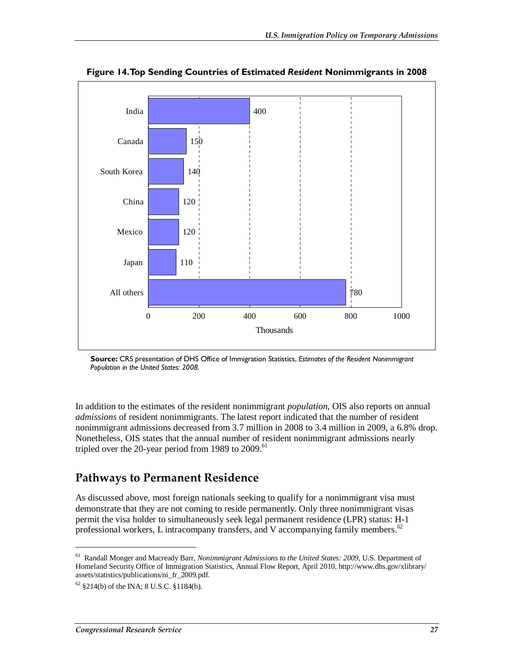

**Figure 14. Top Sending Countries of Estimated** *Resident* **Nonimmigrants in 2008** 

**Source:** CRS presentation of DHS Office of Immigration Statistics, *Estimates of the Resident Nonimmigrant Population in the United States: 2008.* 

In addition to the estimates of the resident nonimmigrant *population*, OIS also reports on annual *admissions* of resident nonimmigrants. The latest report indicated that the number of resident nonimmigrant admissions decreased from 3.7 million in 2008 to 3.4 million in 2009, a 6.8% drop. Nonetheless, OIS states that the annual number of resident nonimmigrant admissions nearly tripled over the 20-year period from 1989 to  $2009$ .<sup>61</sup>

### **Pathways to Permanent Residence**

As discussed above, most foreign nationals seeking to qualify for a nonimmigrant visa must demonstrate that they are not coming to reside permanently. Only three nonimmigrant visas permit the visa holder to simultaneously seek legal permanent residence (LPR) status: H-1 professional workers, L intracompany transfers, and V accompanying family members. $62$ 

<sup>61</sup> Randall Monger and Macready Barr, *Nonimmigrant Admissions to the United States: 2009*, U.S. Department of Homeland Security Office of Immigration Statistics, Annual Flow Report, April 2010, http://www.dhs.gov/xlibrary/ assets/statistics/publications/ni\_fr\_2009.pdf.

 $62$  §214(b) of the INA; 8 U.S.C. §1184(b).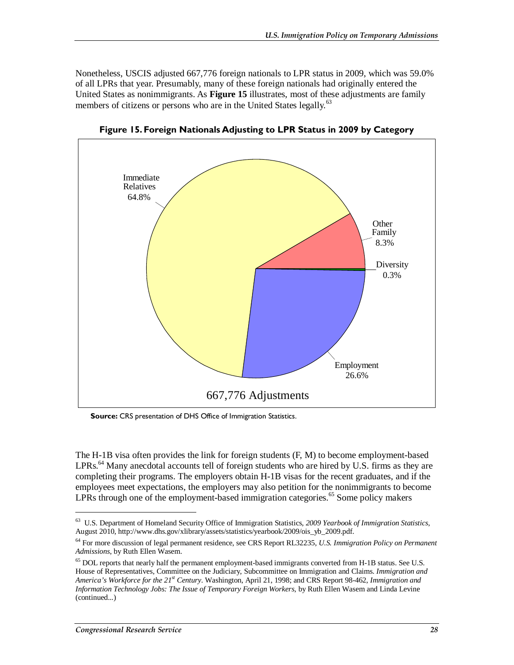Nonetheless, USCIS adjusted 667,776 foreign nationals to LPR status in 2009, which was 59.0% of all LPRs that year. Presumably, many of these foreign nationals had originally entered the United States as nonimmigrants. As **Figure 15** illustrates, most of these adjustments are family members of citizens or persons who are in the United States legally.<sup>63</sup>



**Figure 15. Foreign Nationals Adjusting to LPR Status in 2009 by Category** 

**Source:** CRS presentation of DHS Office of Immigration Statistics.

The H-1B visa often provides the link for foreign students (F, M) to become employment-based LPRs.<sup>64</sup> Many anecdotal accounts tell of foreign students who are hired by U.S. firms as they are completing their programs. The employers obtain H-1B visas for the recent graduates, and if the employees meet expectations, the employers may also petition for the nonimmigrants to become LPRs through one of the employment-based immigration categories.<sup>65</sup> Some policy makers

<sup>63</sup> U.S. Department of Homeland Security Office of Immigration Statistics, *2009 Yearbook of Immigration Statistics*, August 2010, http://www.dhs.gov/xlibrary/assets/statistics/yearbook/2009/ois\_yb\_2009.pdf.

<sup>64</sup> For more discussion of legal permanent residence, see CRS Report RL32235, *U.S. Immigration Policy on Permanent Admissions*, by Ruth Ellen Wasem.

<sup>&</sup>lt;sup>65</sup> DOL reports that nearly half the permanent employment-based immigrants converted from H-1B status. See U.S. House of Representatives, Committee on the Judiciary, Subcommittee on Immigration and Claims. *Immigration and America's Workforce for the 21st Century*. Washington, April 21, 1998; and CRS Report 98-462, *Immigration and Information Technology Jobs: The Issue of Temporary Foreign Workers*, by Ruth Ellen Wasem and Linda Levine (continued...)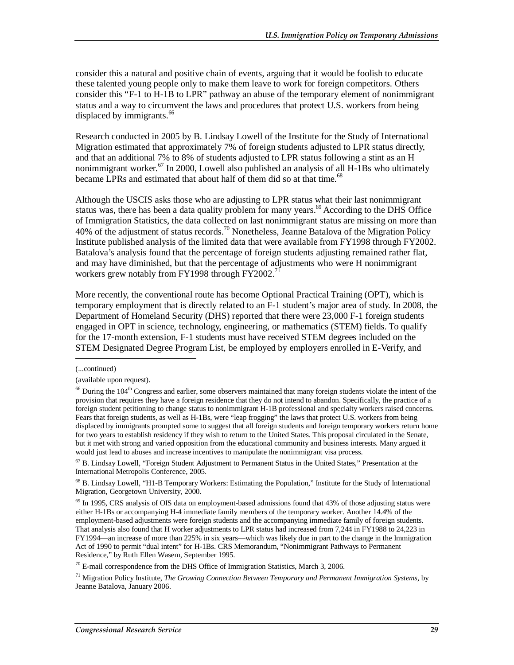consider this a natural and positive chain of events, arguing that it would be foolish to educate these talented young people only to make them leave to work for foreign competitors. Others consider this "F-1 to H-1B to LPR" pathway an abuse of the temporary element of nonimmigrant status and a way to circumvent the laws and procedures that protect U.S. workers from being displaced by immigrants.<sup>66</sup>

Research conducted in 2005 by B. Lindsay Lowell of the Institute for the Study of International Migration estimated that approximately 7% of foreign students adjusted to LPR status directly, and that an additional 7% to 8% of students adjusted to LPR status following a stint as an H nonimmigrant worker.<sup>67</sup> In 2000, Lowell also published an analysis of all H-1Bs who ultimately became LPRs and estimated that about half of them did so at that time.<sup>68</sup>

Although the USCIS asks those who are adjusting to LPR status what their last nonimmigrant status was, there has been a data quality problem for many years.<sup>69</sup> According to the DHS Office of Immigration Statistics, the data collected on last nonimmigrant status are missing on more than 40% of the adjustment of status records.<sup>70</sup> Nonetheless, Jeanne Batalova of the Migration Policy Institute published analysis of the limited data that were available from FY1998 through FY2002. Batalova's analysis found that the percentage of foreign students adjusting remained rather flat, and may have diminished, but that the percentage of adjustments who were H nonimmigrant workers grew notably from FY1998 through FY2002.<sup>71</sup>

More recently, the conventional route has become Optional Practical Training (OPT), which is temporary employment that is directly related to an F-1 student's major area of study. In 2008, the Department of Homeland Security (DHS) reported that there were 23,000 F-1 foreign students engaged in OPT in science, technology, engineering, or mathematics (STEM) fields. To qualify for the 17-month extension, F-1 students must have received STEM degrees included on the STEM Designated Degree Program List, be employed by employers enrolled in E-Verify, and

1

 $67$  B. Lindsay Lowell, "Foreign Student Adjustment to Permanent Status in the United States," Presentation at the International Metropolis Conference, 2005.

68 B. Lindsay Lowell, "H1-B Temporary Workers: Estimating the Population," Institute for the Study of International Migration, Georgetown University, 2000.

 $69$  In 1995, CRS analysis of OIS data on employment-based admissions found that 43% of those adjusting status were either H-1Bs or accompanying H-4 immediate family members of the temporary worker. Another 14.4% of the employment-based adjustments were foreign students and the accompanying immediate family of foreign students. That analysis also found that H worker adjustments to LPR status had increased from 7,244 in FY1988 to 24,223 in FY1994—an increase of more than 225% in six years—which was likely due in part to the change in the Immigration Act of 1990 to permit "dual intent" for H-1Bs. CRS Memorandum, "Nonimmigrant Pathways to Permanent Residence," by Ruth Ellen Wasem, September 1995.

 $70$  E-mail correspondence from the DHS Office of Immigration Statistics, March 3, 2006.

<sup>(...</sup>continued)

<sup>(</sup>available upon request).

<sup>&</sup>lt;sup>66</sup> During the 104<sup>th</sup> Congress and earlier, some observers maintained that many foreign students violate the intent of the provision that requires they have a foreign residence that they do not intend to abandon. Specifically, the practice of a foreign student petitioning to change status to nonimmigrant H-1B professional and specialty workers raised concerns. Fears that foreign students, as well as H-1Bs, were "leap frogging" the laws that protect U.S. workers from being displaced by immigrants prompted some to suggest that all foreign students and foreign temporary workers return home for two years to establish residency if they wish to return to the United States. This proposal circulated in the Senate, but it met with strong and varied opposition from the educational community and business interests. Many argued it would just lead to abuses and increase incentives to manipulate the nonimmigrant visa process.

<sup>71</sup> Migration Policy Institute, *The Growing Connection Between Temporary and Permanent Immigration Systems*, by Jeanne Batalova, January 2006.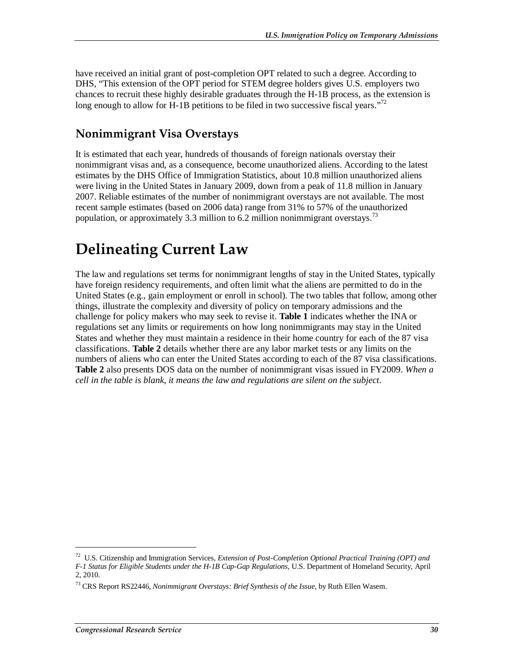have received an initial grant of post-completion OPT related to such a degree. According to DHS, "This extension of the OPT period for STEM degree holders gives U.S. employers two chances to recruit these highly desirable graduates through the H-1B process, as the extension is long enough to allow for H-1B petitions to be filed in two successive fiscal years."<sup>72</sup>

## **Nonimmigrant Visa Overstays**

It is estimated that each year, hundreds of thousands of foreign nationals overstay their nonimmigrant visas and, as a consequence, become unauthorized aliens. According to the latest estimates by the DHS Office of Immigration Statistics, about 10.8 million unauthorized aliens were living in the United States in January 2009, down from a peak of 11.8 million in January 2007. Reliable estimates of the number of nonimmigrant overstays are not available. The most recent sample estimates (based on 2006 data) range from 31% to 57% of the unauthorized population, or approximately 3.3 million to 6.2 million nonimmigrant overstays.<sup>73</sup>

## **Delineating Current Law**

The law and regulations set terms for nonimmigrant lengths of stay in the United States, typically have foreign residency requirements, and often limit what the aliens are permitted to do in the United States (e.g., gain employment or enroll in school). The two tables that follow, among other things, illustrate the complexity and diversity of policy on temporary admissions and the challenge for policy makers who may seek to revise it. **Table 1** indicates whether the INA or regulations set any limits or requirements on how long nonimmigrants may stay in the United States and whether they must maintain a residence in their home country for each of the 87 visa classifications. **Table 2** details whether there are any labor market tests or any limits on the numbers of aliens who can enter the United States according to each of the 87 visa classifications. **Table 2** also presents DOS data on the number of nonimmigrant visas issued in FY2009. *When a cell in the table is blank, it means the law and regulations are silent on the subject*.

<sup>72</sup> U.S. Citizenship and Immigration Services, *Extension of Post-Completion Optional Practical Training (OPT) and* 

*F-1 Status for Eligible Students under the H-1B Cap-Gap Regulations*, U.S. Department of Homeland Security, April 2, 2010.

<sup>73</sup> CRS Report RS22446, *Nonimmigrant Overstays: Brief Synthesis of the Issue*, by Ruth Ellen Wasem.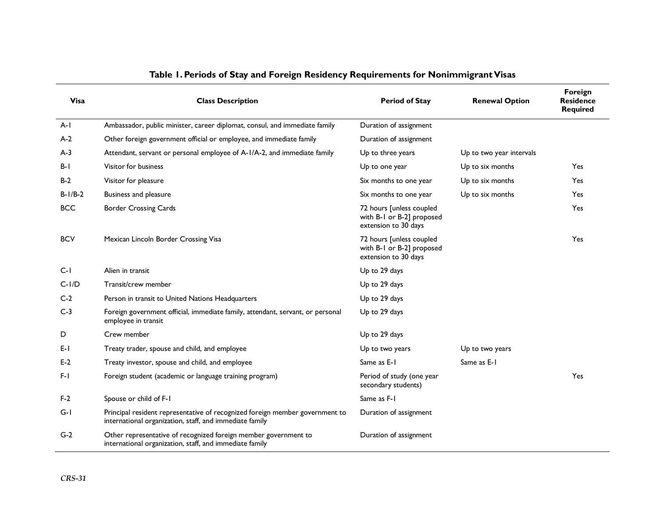| <b>Visa</b> | <b>Class Description</b>                                                                                                                | <b>Period of Stay</b>                                                         | <b>Renewal Option</b>    | Foreign<br><b>Residence</b><br><b>Required</b> |
|-------------|-----------------------------------------------------------------------------------------------------------------------------------------|-------------------------------------------------------------------------------|--------------------------|------------------------------------------------|
| $A-I$       | Ambassador, public minister, career diplomat, consul, and immediate family                                                              | Duration of assignment                                                        |                          |                                                |
| $A-2$       | Other foreign government official or employee, and immediate family                                                                     | Duration of assignment                                                        |                          |                                                |
| $A-3$       | Attendant, servant or personal employee of A-1/A-2, and immediate family                                                                | Up to three years                                                             | Up to two year intervals |                                                |
| $B-1$       | Visitor for business                                                                                                                    | Up to one year                                                                | Up to six months         | Yes                                            |
| $B-2$       | Visitor for pleasure                                                                                                                    | Six months to one year                                                        | Up to six months         | Yes                                            |
| $B-1/B-2$   | Business and pleasure                                                                                                                   | Six months to one year                                                        | Up to six months         | Yes                                            |
| <b>BCC</b>  | <b>Border Crossing Cards</b>                                                                                                            | 72 hours [unless coupled<br>with B-1 or B-2] proposed<br>extension to 30 days |                          | Yes                                            |
| <b>BCV</b>  | Mexican Lincoln Border Crossing Visa                                                                                                    | 72 hours [unless coupled<br>with B-1 or B-2] proposed<br>extension to 30 days |                          | Yes                                            |
| $C-1$       | Alien in transit                                                                                                                        | Up to 29 days                                                                 |                          |                                                |
| $C-1/D$     | Transit/crew member                                                                                                                     | Up to 29 days                                                                 |                          |                                                |
| $C-2$       | Person in transit to United Nations Headquarters                                                                                        | Up to 29 days                                                                 |                          |                                                |
| $C-3$       | Foreign government official, immediate family, attendant, servant, or personal<br>employee in transit                                   | Up to 29 days                                                                 |                          |                                                |
| D           | Crew member                                                                                                                             | Up to 29 days                                                                 |                          |                                                |
| $E-I$       | Treaty trader, spouse and child, and employee                                                                                           | Up to two years                                                               | Up to two years          |                                                |
| $E-2$       | Treaty investor, spouse and child, and employee                                                                                         | Same as E-1                                                                   | Same as E-1              |                                                |
| F-I         | Foreign student (academic or language training program)                                                                                 | Period of study (one year<br>secondary students)                              |                          | Yes                                            |
| $F-2$       | Spouse or child of F-1                                                                                                                  | Same as F-1                                                                   |                          |                                                |
| $G-I$       | Principal resident representative of recognized foreign member government to<br>international organization, staff, and immediate family | Duration of assignment                                                        |                          |                                                |
| $G-2$       | Other representative of recognized foreign member government to<br>international organization, staff, and immediate family              | Duration of assignment                                                        |                          |                                                |

#### **Table 1. Periods of Stay and Foreign Residency Requirements for Nonimmigrant Visas**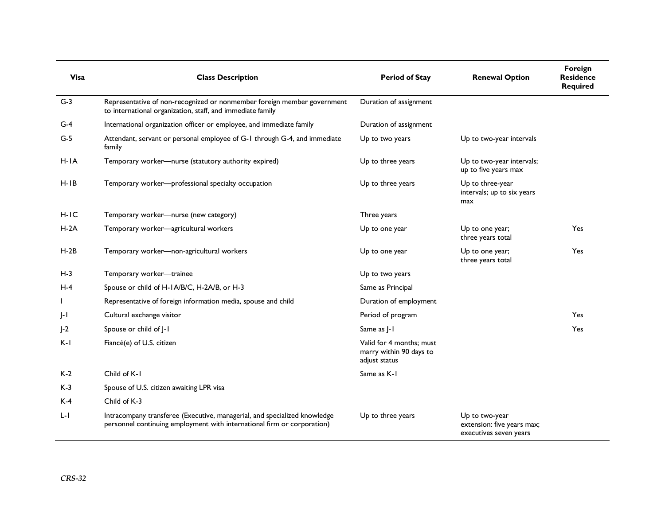| Visa     | <b>Class Description</b>                                                                                                                             | <b>Period of Stay</b>                                                | <b>Renewal Option</b>                                                  | Foreign<br><b>Residence</b><br><b>Required</b> |
|----------|------------------------------------------------------------------------------------------------------------------------------------------------------|----------------------------------------------------------------------|------------------------------------------------------------------------|------------------------------------------------|
| $G-3$    | Representative of non-recognized or nonmember foreign member government<br>to international organization, staff, and immediate family                | Duration of assignment                                               |                                                                        |                                                |
| G-4      | International organization officer or employee, and immediate family                                                                                 | Duration of assignment                                               |                                                                        |                                                |
| $G-5$    | Attendant, servant or personal employee of G-1 through G-4, and immediate<br>family                                                                  | Up to two years                                                      | Up to two-year intervals                                               |                                                |
| H-IA     | Temporary worker-nurse (statutory authority expired)                                                                                                 | Up to three years                                                    | Up to two-year intervals;<br>up to five years max                      |                                                |
| $H-IB$   | Temporary worker-professional specialty occupation                                                                                                   | Up to three years                                                    | Up to three-year<br>intervals; up to six years<br>max                  |                                                |
| $H-IC$   | Temporary worker-nurse (new category)                                                                                                                | Three years                                                          |                                                                        |                                                |
| $H - 2A$ | Temporary worker-agricultural workers                                                                                                                | Up to one year                                                       | Up to one year;<br>three years total                                   | <b>Yes</b>                                     |
| $H-2B$   | Temporary worker-non-agricultural workers                                                                                                            | Up to one year                                                       | Up to one year;<br>three years total                                   | Yes                                            |
| $H-3$    | Temporary worker-trainee                                                                                                                             | Up to two years                                                      |                                                                        |                                                |
| $H-4$    | Spouse or child of H-1A/B/C, H-2A/B, or H-3                                                                                                          | Same as Principal                                                    |                                                                        |                                                |
|          | Representative of foreign information media, spouse and child                                                                                        | Duration of employment                                               |                                                                        |                                                |
| J-I      | Cultural exchange visitor                                                                                                                            | Period of program                                                    |                                                                        | Yes                                            |
| $ -2$    | Spouse or child of J-1                                                                                                                               | Same as J-1                                                          |                                                                        | Yes                                            |
| $K-I$    | Fiancé(e) of U.S. citizen                                                                                                                            | Valid for 4 months; must<br>marry within 90 days to<br>adjust status |                                                                        |                                                |
| $K-2$    | Child of K-1                                                                                                                                         | Same as K-1                                                          |                                                                        |                                                |
| $K-3$    | Spouse of U.S. citizen awaiting LPR visa                                                                                                             |                                                                      |                                                                        |                                                |
| K-4      | Child of K-3                                                                                                                                         |                                                                      |                                                                        |                                                |
| L-I      | Intracompany transferee (Executive, managerial, and specialized knowledge<br>personnel continuing employment with international firm or corporation) | Up to three years                                                    | Up to two-year<br>extension: five years max;<br>executives seven years |                                                |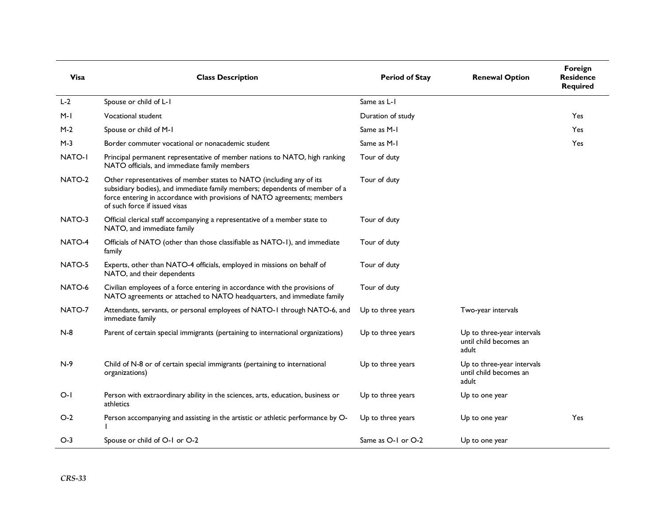| <b>Visa</b>   | <b>Class Description</b>                                                                                                                                                                                                                                         | <b>Period of Stay</b> | <b>Renewal Option</b>                                         | Foreign<br><b>Residence</b><br><b>Required</b> |
|---------------|------------------------------------------------------------------------------------------------------------------------------------------------------------------------------------------------------------------------------------------------------------------|-----------------------|---------------------------------------------------------------|------------------------------------------------|
| $L-2$         | Spouse or child of L-1                                                                                                                                                                                                                                           | Same as L-1           |                                                               |                                                |
| $M-I$         | <b>Vocational student</b>                                                                                                                                                                                                                                        | Duration of study     |                                                               | Yes                                            |
| $M-2$         | Spouse or child of M-1                                                                                                                                                                                                                                           | Same as M-1           |                                                               | <b>Yes</b>                                     |
| $M-3$         | Border commuter vocational or nonacademic student                                                                                                                                                                                                                | Same as M-1           |                                                               | <b>Yes</b>                                     |
| <b>NATO-I</b> | Principal permanent representative of member nations to NATO, high ranking<br>NATO officials, and immediate family members                                                                                                                                       | Tour of duty          |                                                               |                                                |
| NATO-2        | Other representatives of member states to NATO (including any of its<br>subsidiary bodies), and immediate family members; dependents of member of a<br>force entering in accordance with provisions of NATO agreements; members<br>of such force if issued visas | Tour of duty          |                                                               |                                                |
| NATO-3        | Official clerical staff accompanying a representative of a member state to<br>NATO, and immediate family                                                                                                                                                         | Tour of duty          |                                                               |                                                |
| NATO-4        | Officials of NATO (other than those classifiable as NATO-1), and immediate<br>family                                                                                                                                                                             | Tour of duty          |                                                               |                                                |
| NATO-5        | Experts, other than NATO-4 officials, employed in missions on behalf of<br>NATO, and their dependents                                                                                                                                                            | Tour of duty          |                                                               |                                                |
| NATO-6        | Civilian employees of a force entering in accordance with the provisions of<br>NATO agreements or attached to NATO headquarters, and immediate family                                                                                                            | Tour of duty          |                                                               |                                                |
| NATO-7        | Attendants, servants, or personal employees of NATO-1 through NATO-6, and<br>immediate family                                                                                                                                                                    | Up to three years     | Two-year intervals                                            |                                                |
| $N-8$         | Parent of certain special immigrants (pertaining to international organizations)                                                                                                                                                                                 | Up to three years     | Up to three-year intervals<br>until child becomes an<br>adult |                                                |
| $N-9$         | Child of N-8 or of certain special immigrants (pertaining to international<br>organizations)                                                                                                                                                                     | Up to three years     | Up to three-year intervals<br>until child becomes an<br>adult |                                                |
| $O-I$         | Person with extraordinary ability in the sciences, arts, education, business or<br>athletics                                                                                                                                                                     | Up to three years     | Up to one year                                                |                                                |
| $O-2$         | Person accompanying and assisting in the artistic or athletic performance by O-                                                                                                                                                                                  | Up to three years     | Up to one year                                                | Yes                                            |
| $O-3$         | Spouse or child of O-1 or O-2                                                                                                                                                                                                                                    | Same as O-1 or O-2    | Up to one year                                                |                                                |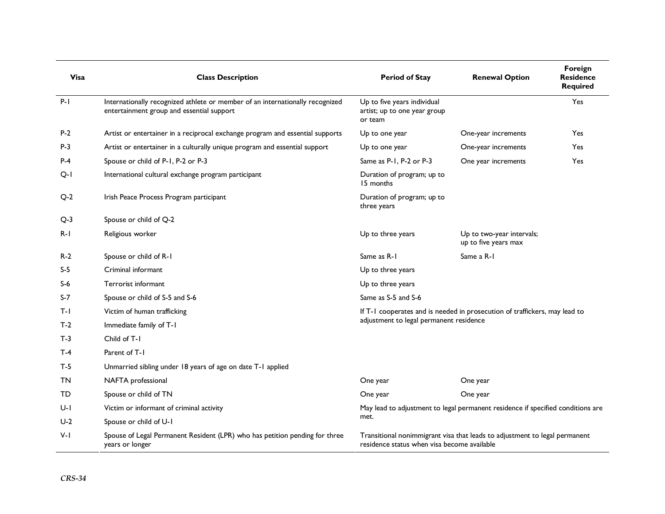| <b>Visa</b> | <b>Class Description</b>                                                                                                   | <b>Period of Stay</b>                                                           | <b>Renewal Option</b>                                                      | Foreign<br><b>Residence</b><br><b>Required</b> |
|-------------|----------------------------------------------------------------------------------------------------------------------------|---------------------------------------------------------------------------------|----------------------------------------------------------------------------|------------------------------------------------|
| $P-I$       | Internationally recognized athlete or member of an internationally recognized<br>entertainment group and essential support | Up to five years individual<br>artist; up to one year group<br>or team          |                                                                            | Yes                                            |
| P-2         | Artist or entertainer in a reciprocal exchange program and essential supports                                              | Up to one year                                                                  | One-year increments                                                        | Yes                                            |
| P-3         | Artist or entertainer in a culturally unique program and essential support                                                 | Up to one year                                                                  | One-year increments                                                        | Yes                                            |
| P-4         | Spouse or child of P-1, P-2 or P-3                                                                                         | Same as P-1, P-2 or P-3                                                         | One year increments                                                        | Yes                                            |
| O-l         | International cultural exchange program participant                                                                        | Duration of program; up to<br>15 months                                         |                                                                            |                                                |
| $Q-2$       | Irish Peace Process Program participant                                                                                    | Duration of program; up to<br>three years                                       |                                                                            |                                                |
| $Q-3$       | Spouse or child of Q-2                                                                                                     |                                                                                 |                                                                            |                                                |
| R-I         | Religious worker                                                                                                           | Up to three years                                                               | Up to two-year intervals;<br>up to five years max                          |                                                |
| $R-2$       | Spouse or child of R-1                                                                                                     | Same as R-1                                                                     | Same a R-1                                                                 |                                                |
| $S-5$       | Criminal informant                                                                                                         | Up to three years                                                               |                                                                            |                                                |
| $S-6$       | Terrorist informant                                                                                                        | Up to three years                                                               |                                                                            |                                                |
| $S - 7$     | Spouse or child of S-5 and S-6                                                                                             | Same as S-5 and S-6                                                             |                                                                            |                                                |
| T-I         | Victim of human trafficking                                                                                                |                                                                                 | If T-1 cooperates and is needed in prosecution of traffickers, may lead to |                                                |
| $T-2$       | Immediate family of T-1                                                                                                    | adjustment to legal permanent residence                                         |                                                                            |                                                |
| $T-3$       | Child of T-1                                                                                                               |                                                                                 |                                                                            |                                                |
| $T-4$       | Parent of T-1                                                                                                              |                                                                                 |                                                                            |                                                |
| $T-5$       | Unmarried sibling under 18 years of age on date T-1 applied                                                                |                                                                                 |                                                                            |                                                |
| TN          | NAFTA professional                                                                                                         | One year                                                                        | One year                                                                   |                                                |
| TD.         | Spouse or child of TN                                                                                                      | One year                                                                        | One year                                                                   |                                                |
| $U-I$       | Victim or informant of criminal activity                                                                                   | May lead to adjustment to legal permanent residence if specified conditions are |                                                                            |                                                |
| $U-2$       | Spouse or child of U-1                                                                                                     | met.                                                                            |                                                                            |                                                |
| $V-I$       | Spouse of Legal Permanent Resident (LPR) who has petition pending for three<br>years or longer                             | residence status when visa become available                                     | Transitional nonimmigrant visa that leads to adjustment to legal permanent |                                                |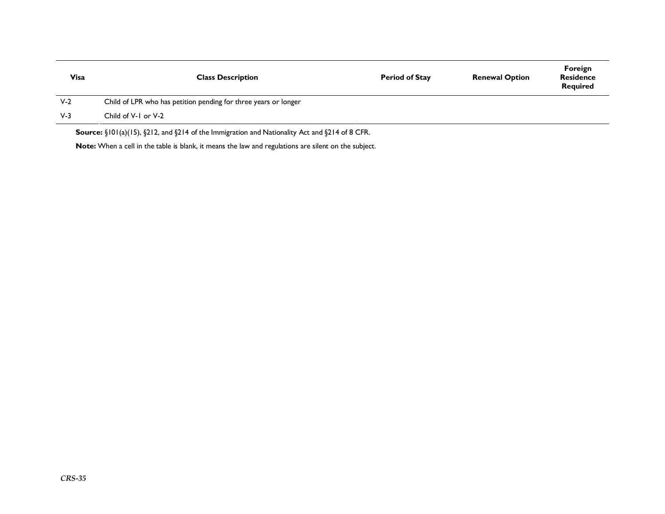| <b>Visa</b> | <b>Class Description</b>                                        | <b>Period of Stay</b> | <b>Renewal Option</b> | Foreign<br><b>Residence</b><br><b>Required</b> |
|-------------|-----------------------------------------------------------------|-----------------------|-----------------------|------------------------------------------------|
| $V-2$       | Child of LPR who has petition pending for three years or longer |                       |                       |                                                |
| $V-3$       | Child of V-1 or V-2                                             |                       |                       |                                                |
|             |                                                                 |                       |                       |                                                |

**Source:** §101(a)(15), §212, and §214 of the Immigration and Nationality Act and §214 of 8 CFR.

**Note:** When a cell in the table is blank, it means the law and regulations are silent on the subject.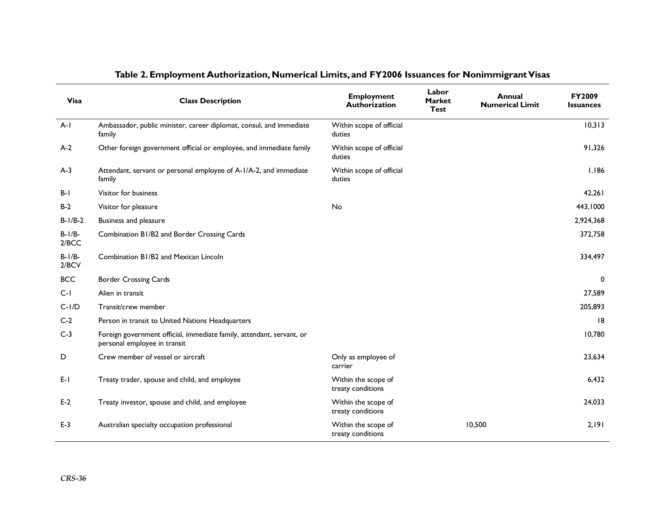| <b>Visa</b>       | <b>Class Description</b>                                                                              | <b>Employment</b><br><b>Authorization</b> | Labor<br><b>Market</b><br><b>Test</b> | <b>Annual</b><br><b>Numerical Limit</b> | <b>FY2009</b><br><b>Issuances</b> |
|-------------------|-------------------------------------------------------------------------------------------------------|-------------------------------------------|---------------------------------------|-----------------------------------------|-----------------------------------|
| $A-I$             | Ambassador, public minister, career diplomat, consul, and immediate<br>family                         | Within scope of official<br>duties        |                                       |                                         | 10,313                            |
| $A-2$             | Other foreign government official or employee, and immediate family                                   | Within scope of official<br>duties        |                                       |                                         | 91,326                            |
| $A-3$             | Attendant, servant or personal employee of A-1/A-2, and immediate<br>family                           | Within scope of official<br>duties        |                                       |                                         | 1,186                             |
| $B-1$             | Visitor for business                                                                                  |                                           |                                       |                                         | 42,261                            |
| $B-2$             | Visitor for pleasure                                                                                  | <b>No</b>                                 |                                       |                                         | 443,1000                          |
| $B-1/B-2$         | Business and pleasure                                                                                 |                                           |                                       |                                         | 2,924,368                         |
| $B-1/B-$<br>2/BCC | Combination B1/B2 and Border Crossing Cards                                                           |                                           |                                       |                                         | 372,758                           |
| $B-1/B-$<br>2/BCV | Combination B1/B2 and Mexican Lincoln                                                                 |                                           |                                       |                                         | 334,497                           |
| <b>BCC</b>        | <b>Border Crossing Cards</b>                                                                          |                                           |                                       |                                         | 0                                 |
| $C-1$             | Alien in transit                                                                                      |                                           |                                       |                                         | 27,589                            |
| $C-1/D$           | Transit/crew member                                                                                   |                                           |                                       |                                         | 205,893                           |
| $C-2$             | Person in transit to United Nations Headquarters                                                      |                                           |                                       |                                         | 8                                 |
| $C-3$             | Foreign government official, immediate family, attendant, servant, or<br>personal employee in transit |                                           |                                       |                                         | 10,780                            |
| D                 | Crew member of vessel or aircraft                                                                     | Only as employee of<br>carrier            |                                       |                                         | 23,634                            |
| $E-I$             | Treaty trader, spouse and child, and employee                                                         | Within the scope of<br>treaty conditions  |                                       |                                         | 6.432                             |
| $E-2$             | Treaty investor, spouse and child, and employee                                                       | Within the scope of<br>treaty conditions  |                                       |                                         | 24,033                            |
| $E-3$             | Australian specialty occupation professional                                                          | Within the scope of<br>treaty conditions  |                                       | 10,500                                  | 2,191                             |

#### **Table 2. Employment Authorization, Numerical Limits, and FY2006 Issuances for Nonimmigrant Visas**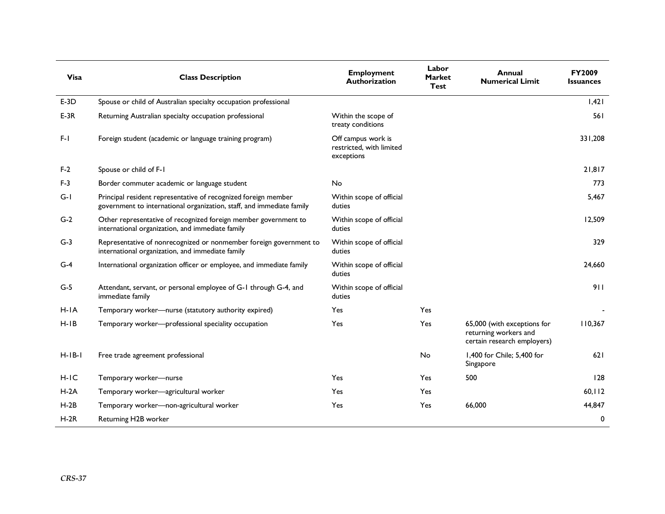| <b>Visa</b> | <b>Class Description</b>                                                                                                                | <b>Employment</b><br><b>Authorization</b>                    | Labor<br><b>Market</b><br><b>Test</b> | <b>Annual</b><br><b>Numerical Limit</b>                                             | <b>FY2009</b><br><b>Issuances</b> |
|-------------|-----------------------------------------------------------------------------------------------------------------------------------------|--------------------------------------------------------------|---------------------------------------|-------------------------------------------------------------------------------------|-----------------------------------|
| $E-3D$      | Spouse or child of Australian specialty occupation professional                                                                         |                                                              |                                       |                                                                                     | 1,421                             |
| $E-3R$      | Returning Australian specialty occupation professional                                                                                  | Within the scope of<br>treaty conditions                     |                                       |                                                                                     | 561                               |
| $F-1$       | Foreign student (academic or language training program)                                                                                 | Off campus work is<br>restricted, with limited<br>exceptions |                                       |                                                                                     | 331,208                           |
| $F-2$       | Spouse or child of F-1                                                                                                                  |                                                              |                                       |                                                                                     | 21,817                            |
| $F-3$       | Border commuter academic or language student                                                                                            | <b>No</b>                                                    |                                       |                                                                                     | 773                               |
| $G-I$       | Principal resident representative of recognized foreign member<br>government to international organization, staff, and immediate family | Within scope of official<br>duties                           |                                       |                                                                                     | 5,467                             |
| $G-2$       | Other representative of recognized foreign member government to<br>international organization, and immediate family                     | Within scope of official<br>duties                           |                                       |                                                                                     | 12,509                            |
| $G-3$       | Representative of nonrecognized or nonmember foreign government to<br>international organization, and immediate family                  | Within scope of official<br>duties                           |                                       |                                                                                     | 329                               |
| $G-4$       | International organization officer or employee, and immediate family                                                                    | Within scope of official<br>duties                           |                                       |                                                                                     | 24,660                            |
| $G-5$       | Attendant, servant, or personal employee of G-1 through G-4, and<br>immediate family                                                    | Within scope of official<br>duties                           |                                       |                                                                                     | 911                               |
| $H-IA$      | Temporary worker-nurse (statutory authority expired)                                                                                    | Yes                                                          | Yes                                   |                                                                                     |                                   |
| $H-IB$      | Temporary worker-professional speciality occupation                                                                                     | Yes                                                          | Yes                                   | 65,000 (with exceptions for<br>returning workers and<br>certain research employers) | 110,367                           |
| $H-IB-I$    | Free trade agreement professional                                                                                                       |                                                              | <b>No</b>                             | 1,400 for Chile; 5,400 for<br>Singapore                                             | 621                               |
| $H-IC$      | Temporary worker-nurse                                                                                                                  | Yes                                                          | Yes                                   | 500                                                                                 | 128                               |
| $H - 2A$    | Temporary worker-agricultural worker                                                                                                    | Yes                                                          | Yes                                   |                                                                                     | 60, 112                           |
| $H-2B$      | Temporary worker-non-agricultural worker                                                                                                | Yes                                                          | Yes                                   | 66,000                                                                              | 44,847                            |
| $H-2R$      | Returning H2B worker                                                                                                                    |                                                              |                                       |                                                                                     | 0                                 |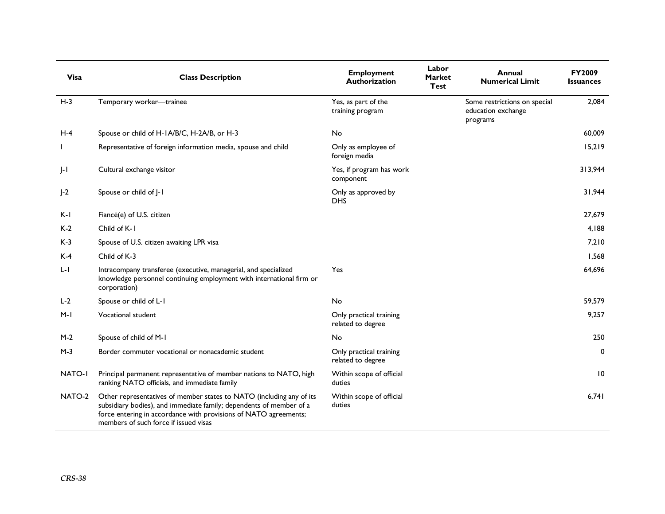| <b>Visa</b>   | <b>Class Description</b>                                                                                                                                                                                                                                 | <b>Employment</b><br>Authorization           | Labor<br><b>Market</b><br><b>Test</b> | <b>Annual</b><br><b>Numerical Limit</b>                        | <b>FY2009</b><br><b>Issuances</b> |
|---------------|----------------------------------------------------------------------------------------------------------------------------------------------------------------------------------------------------------------------------------------------------------|----------------------------------------------|---------------------------------------|----------------------------------------------------------------|-----------------------------------|
| $H-3$         | Temporary worker-trainee                                                                                                                                                                                                                                 | Yes, as part of the<br>training program      |                                       | Some restrictions on special<br>education exchange<br>programs | 2,084                             |
| $H-4$         | Spouse or child of H-1A/B/C, H-2A/B, or H-3                                                                                                                                                                                                              | No                                           |                                       |                                                                | 60.009                            |
|               | Representative of foreign information media, spouse and child                                                                                                                                                                                            | Only as employee of<br>foreign media         |                                       |                                                                | 15,219                            |
| J-I           | Cultural exchange visitor                                                                                                                                                                                                                                | Yes, if program has work<br>component        |                                       |                                                                | 313.944                           |
| $J-2$         | Spouse or child of J-1                                                                                                                                                                                                                                   | Only as approved by<br><b>DHS</b>            |                                       |                                                                | 31,944                            |
| $K-I$         | Fiancé(e) of U.S. citizen                                                                                                                                                                                                                                |                                              |                                       |                                                                | 27,679                            |
| $K-2$         | Child of K-1                                                                                                                                                                                                                                             |                                              |                                       |                                                                | 4,188                             |
| $K-3$         | Spouse of U.S. citizen awaiting LPR visa                                                                                                                                                                                                                 |                                              |                                       |                                                                | 7,210                             |
| $K-4$         | Child of K-3                                                                                                                                                                                                                                             |                                              |                                       |                                                                | 1,568                             |
| L-I           | Intracompany transferee (executive, managerial, and specialized<br>knowledge personnel continuing employment with international firm or<br>corporation)                                                                                                  | Yes                                          |                                       |                                                                | 64,696                            |
| $L-2$         | Spouse or child of L-1                                                                                                                                                                                                                                   | No                                           |                                       |                                                                | 59,579                            |
| $M-I$         | Vocational student                                                                                                                                                                                                                                       | Only practical training<br>related to degree |                                       |                                                                | 9,257                             |
| $M-2$         | Spouse of child of M-1                                                                                                                                                                                                                                   | No                                           |                                       |                                                                | 250                               |
| $M-3$         | Border commuter vocational or nonacademic student                                                                                                                                                                                                        | Only practical training<br>related to degree |                                       |                                                                | 0                                 |
| <b>NATO-I</b> | Principal permanent representative of member nations to NATO, high<br>ranking NATO officials, and immediate family                                                                                                                                       | Within scope of official<br>duties           |                                       |                                                                | 10                                |
| NATO-2        | Other representatives of member states to NATO (including any of its<br>subsidiary bodies), and immediate family; dependents of member of a<br>force entering in accordance with provisions of NATO agreements;<br>members of such force if issued visas | Within scope of official<br>duties           |                                       |                                                                | 6,741                             |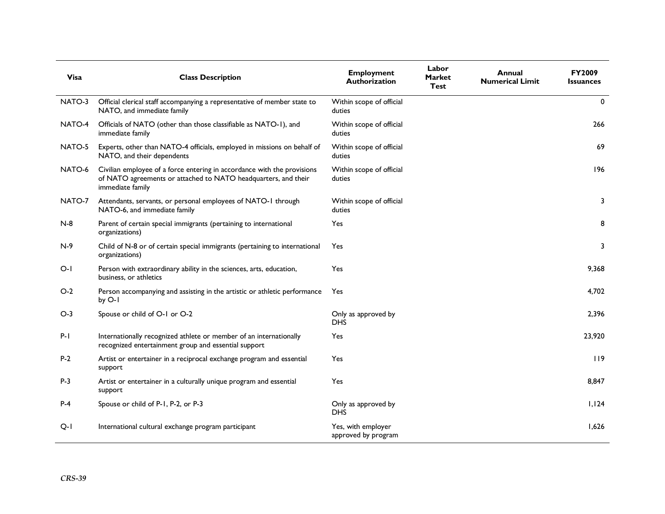| <b>Visa</b> | <b>Class Description</b>                                                                                                                                      | <b>Employment</b><br>Authorization        | Labor<br><b>Market</b><br><b>Test</b> | Annual<br><b>Numerical Limit</b> | <b>FY2009</b><br><b>Issuances</b> |
|-------------|---------------------------------------------------------------------------------------------------------------------------------------------------------------|-------------------------------------------|---------------------------------------|----------------------------------|-----------------------------------|
| NATO-3      | Official clerical staff accompanying a representative of member state to<br>NATO, and immediate family                                                        | Within scope of official<br>duties        |                                       |                                  | 0                                 |
| NATO-4      | Officials of NATO (other than those classifiable as NATO-1), and<br>immediate family                                                                          | Within scope of official<br>duties        |                                       |                                  | 266                               |
| NATO-5      | Experts, other than NATO-4 officials, employed in missions on behalf of<br>NATO, and their dependents                                                         | Within scope of official<br>duties        |                                       |                                  | 69                                |
| NATO-6      | Civilian employee of a force entering in accordance with the provisions<br>of NATO agreements or attached to NATO headquarters, and their<br>immediate family | Within scope of official<br>duties        |                                       |                                  | 196                               |
| NATO-7      | Attendants, servants, or personal employees of NATO-1 through<br>NATO-6, and immediate family                                                                 | Within scope of official<br>duties        |                                       |                                  | 3                                 |
| $N-8$       | Parent of certain special immigrants (pertaining to international<br>organizations)                                                                           | Yes                                       |                                       |                                  | 8                                 |
| $N-9$       | Child of N-8 or of certain special immigrants (pertaining to international<br>organizations)                                                                  | Yes                                       |                                       |                                  | 3                                 |
| $O-I$       | Person with extraordinary ability in the sciences, arts, education,<br>business, or athletics                                                                 | Yes                                       |                                       |                                  | 9.368                             |
| $O-2$       | Person accompanying and assisting in the artistic or athletic performance<br>by O-I                                                                           | Yes                                       |                                       |                                  | 4,702                             |
| $O-3$       | Spouse or child of O-1 or O-2                                                                                                                                 | Only as approved by<br><b>DHS</b>         |                                       |                                  | 2,396                             |
| $P-I$       | Internationally recognized athlete or member of an internationally<br>recognized entertainment group and essential support                                    | Yes                                       |                                       |                                  | 23.920                            |
| $P-2$       | Artist or entertainer in a reciprocal exchange program and essential<br>support                                                                               | Yes                                       |                                       |                                  | 119                               |
| $P-3$       | Artist or entertainer in a culturally unique program and essential<br>support                                                                                 | Yes                                       |                                       |                                  | 8,847                             |
| $P-4$       | Spouse or child of P-1, P-2, or P-3                                                                                                                           | Only as approved by<br><b>DHS</b>         |                                       |                                  | 1.124                             |
| Q-I         | International cultural exchange program participant                                                                                                           | Yes, with employer<br>approved by program |                                       |                                  | 1,626                             |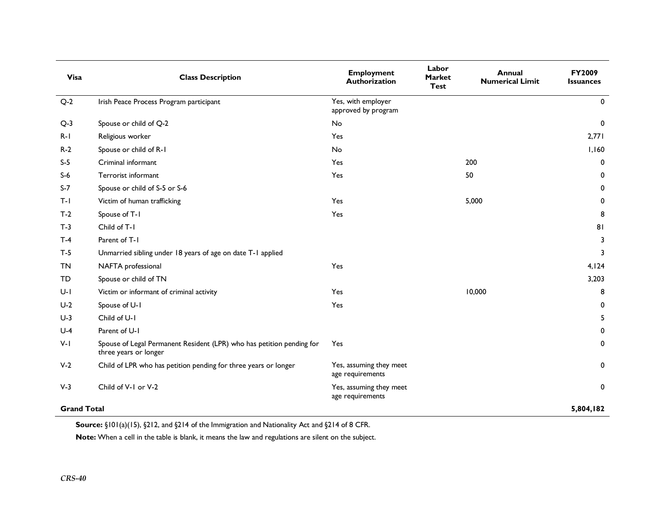| <b>Visa</b>        | <b>Class Description</b>                                                                       | <b>Employment</b><br>Authorization          | Labor<br><b>Market</b><br><b>Test</b> | <b>Annual</b><br><b>Numerical Limit</b> | <b>FY2009</b><br><b>Issuances</b> |
|--------------------|------------------------------------------------------------------------------------------------|---------------------------------------------|---------------------------------------|-----------------------------------------|-----------------------------------|
| $Q-2$              | Irish Peace Process Program participant                                                        | Yes, with employer<br>approved by program   |                                       |                                         | 0                                 |
| $Q-3$              | Spouse or child of Q-2                                                                         | No                                          |                                       |                                         | 0                                 |
| $R - I$            | Religious worker                                                                               | Yes                                         |                                       |                                         | 2,771                             |
| $R-2$              | Spouse or child of R-1                                                                         | <b>No</b>                                   |                                       |                                         | 1,160                             |
| $S-5$              | Criminal informant                                                                             | Yes                                         |                                       | 200                                     | 0                                 |
| $S-6$              | Terrorist informant                                                                            | Yes                                         |                                       | 50                                      | 0                                 |
| $S - 7$            | Spouse or child of S-5 or S-6                                                                  |                                             |                                       |                                         | 0                                 |
| $T-1$              | Victim of human trafficking                                                                    | Yes                                         |                                       | 5,000                                   | 0                                 |
| $T-2$              | Spouse of T-1                                                                                  | Yes                                         |                                       |                                         | 8                                 |
| $T-3$              | Child of T-1                                                                                   |                                             |                                       |                                         | 81                                |
| $T-4$              | Parent of T-1                                                                                  |                                             |                                       |                                         | 3                                 |
| $T-5$              | Unmarried sibling under 18 years of age on date T-1 applied                                    |                                             |                                       |                                         | 3                                 |
| TN                 | NAFTA professional                                                                             | Yes                                         |                                       |                                         | 4,124                             |
| TD                 | Spouse or child of TN                                                                          |                                             |                                       |                                         | 3,203                             |
| $U-I$              | Victim or informant of criminal activity                                                       | Yes                                         |                                       | 10,000                                  | 8                                 |
| $U-2$              | Spouse of U-1                                                                                  | Yes                                         |                                       |                                         | $\mathbf 0$                       |
| $U-3$              | Child of U-1                                                                                   |                                             |                                       |                                         | 5                                 |
| $U-4$              | Parent of U-I                                                                                  |                                             |                                       |                                         | 0                                 |
| $V-I$              | Spouse of Legal Permanent Resident (LPR) who has petition pending for<br>three years or longer | Yes                                         |                                       |                                         | 0                                 |
| $V-2$              | Child of LPR who has petition pending for three years or longer                                | Yes, assuming they meet<br>age requirements |                                       |                                         | 0                                 |
| $V-3$              | Child of V-1 or V-2                                                                            | Yes, assuming they meet<br>age requirements |                                       |                                         | 0                                 |
| <b>Grand Total</b> |                                                                                                |                                             |                                       |                                         | 5,804,182                         |

**Source:** §101(a)(15), §212, and §214 of the Immigration and Nationality Act and §214 of 8 CFR.

**Note:** When a cell in the table is blank, it means the law and regulations are silent on the subject.